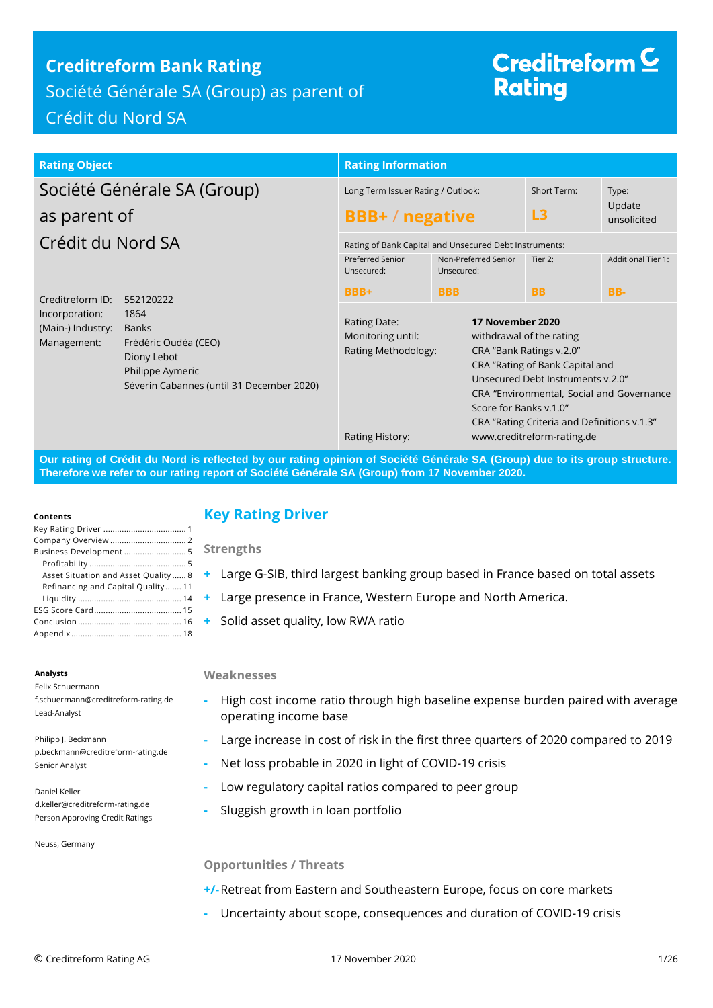# **Creditreform Bank Rating**

Société Générale SA (Group) as parent of Crédit du Nord SA

# Creditreform  $\subseteq$ **Rating**

| <b>Rating Object</b>                                                                                          |                                                                   | <b>Rating Information</b>                                                                                                 |                                                        |                                                                                                                                                                                                                                                        |                       |
|---------------------------------------------------------------------------------------------------------------|-------------------------------------------------------------------|---------------------------------------------------------------------------------------------------------------------------|--------------------------------------------------------|--------------------------------------------------------------------------------------------------------------------------------------------------------------------------------------------------------------------------------------------------------|-----------------------|
| Société Générale SA (Group)                                                                                   |                                                                   | Long Term Issuer Rating / Outlook:                                                                                        |                                                        | Short Term:                                                                                                                                                                                                                                            | Type:                 |
| as parent of                                                                                                  |                                                                   | <b>BBB+/negative</b>                                                                                                      |                                                        | L3                                                                                                                                                                                                                                                     | Update<br>unsolicited |
| Crédit du Nord SA                                                                                             |                                                                   |                                                                                                                           | Rating of Bank Capital and Unsecured Debt Instruments: |                                                                                                                                                                                                                                                        |                       |
|                                                                                                               | Preferred Senior<br>Unsecured:                                    | Non-Preferred Senior<br>Unsecured:                                                                                        | Tier 2:                                                | <b>Additional Tier 1:</b>                                                                                                                                                                                                                              |                       |
| Creditreform ID:                                                                                              | 552120222                                                         | BBB+                                                                                                                      | <b>BBB</b>                                             | <b>BB</b>                                                                                                                                                                                                                                              | BB-                   |
| 1864<br>Incorporation:<br>(Main-) Industry:<br><b>Banks</b><br>Management:<br>Diony Lebot<br>Philippe Aymeric | Frédéric Oudéa (CEO)<br>Séverin Cabannes (until 31 December 2020) | 17 November 2020<br>Rating Date:<br>Monitoring until:<br>Rating Methodology:<br>Score for Banks v.1.0"<br>Rating History: |                                                        | withdrawal of the rating<br>CRA "Bank Ratings v.2.0"<br>CRA "Rating of Bank Capital and<br>Unsecured Debt Instruments v.2.0"<br>CRA "Environmental, Social and Governance<br>CRA "Rating Criteria and Definitions v.1.3"<br>www.creditreform-rating.de |                       |

**Our rating of Crédit du Nord is reflected by our rating opinion of Société Générale SA (Group) due to its group structure. Therefore we refer to our rating report of Société Générale SA (Group) from 17 November 2020.**

#### **Contents**

| Business Development 5               |
|--------------------------------------|
|                                      |
| Asset Situation and Asset Quality  8 |
| Refinancing and Capital Quality 11   |
|                                      |
|                                      |
|                                      |
|                                      |

#### **Analysts**

Felix Schuermann f.schuermann@creditreform-rating.de Lead-Analyst

Philipp J. Beckmann p.beckmann@creditreform-rating.de Senior Analyst

Daniel Keller d.keller@creditreform-rating.de Person Approving Credit Ratings

Neuss, Germany

## <span id="page-0-0"></span>**Key Rating Driver**

**Strengths**

- **+** Large G-SIB, third largest banking group based in France based on total assets
- **+** Large presence in France, Western Europe and North America.
- **+** Solid asset quality, low RWA ratio

### **Weaknesses**

- **-** High cost income ratio through high baseline expense burden paired with average operating income base
- **-** Large increase in cost of risk in the first three quarters of 2020 compared to 2019
- **-** Net loss probable in 2020 in light of COVID-19 crisis
- **-** Low regulatory capital ratios compared to peer group
- **-** Sluggish growth in loan portfolio

### **Opportunities / Threats**

- **+/-**Retreat from Eastern and Southeastern Europe, focus on core markets
- **-** Uncertainty about scope, consequences and duration of COVID-19 crisis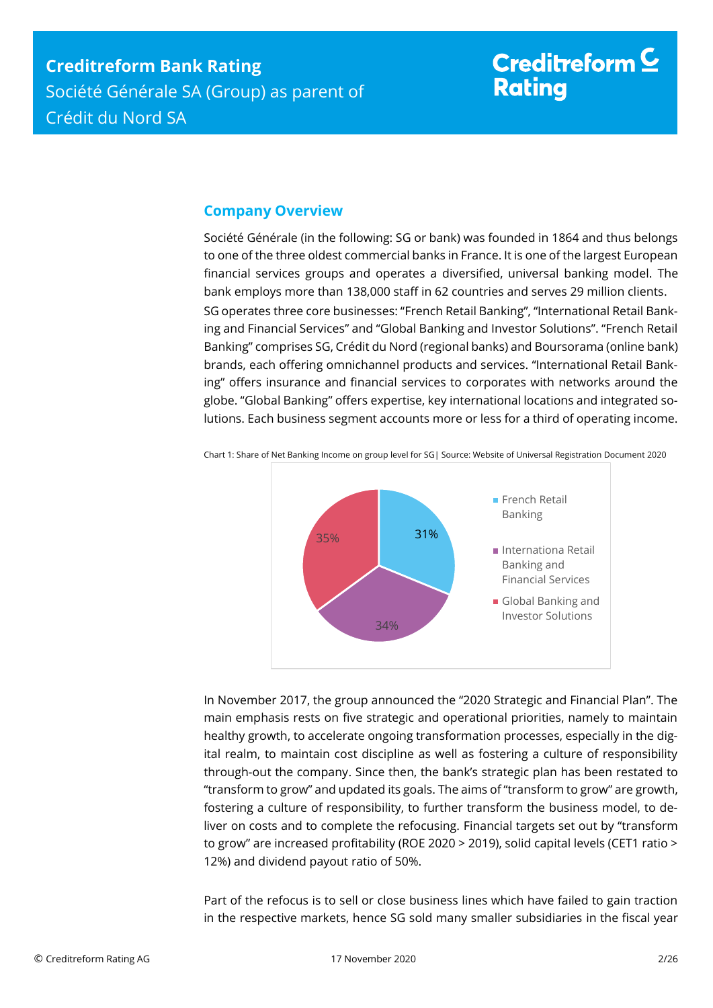# Creditreform  $\mathsf{\underline{C}}$ **Rating**

## <span id="page-1-0"></span>**Company Overview**

Société Générale (in the following: SG or bank) was founded in 1864 and thus belongs to one of the three oldest commercial banks in France. It is one of the largest European financial services groups and operates a diversified, universal banking model. The bank employs more than 138,000 staff in 62 countries and serves 29 million clients. SG operates three core businesses: "French Retail Banking", "International Retail Banking and Financial Services" and "Global Banking and Investor Solutions". "French Retail Banking" comprises SG, Crédit du Nord (regional banks) and Boursorama (online bank) brands, each offering omnichannel products and services. "International Retail Banking" offers insurance and financial services to corporates with networks around the globe. "Global Banking" offers expertise, key international locations and integrated solutions. Each business segment accounts more or less for a third of operating income.



Chart 1: Share of Net Banking Income on group level for SG| Source: Website of Universal Registration Document 2020

In November 2017, the group announced the "2020 Strategic and Financial Plan". The main emphasis rests on five strategic and operational priorities, namely to maintain healthy growth, to accelerate ongoing transformation processes, especially in the digital realm, to maintain cost discipline as well as fostering a culture of responsibility through-out the company. Since then, the bank's strategic plan has been restated to "transform to grow" and updated its goals. The aims of "transform to grow" are growth, fostering a culture of responsibility, to further transform the business model, to deliver on costs and to complete the refocusing. Financial targets set out by "transform to grow" are increased profitability (ROE 2020 > 2019), solid capital levels (CET1 ratio > 12%) and dividend payout ratio of 50%.

Part of the refocus is to sell or close business lines which have failed to gain traction in the respective markets, hence SG sold many smaller subsidiaries in the fiscal year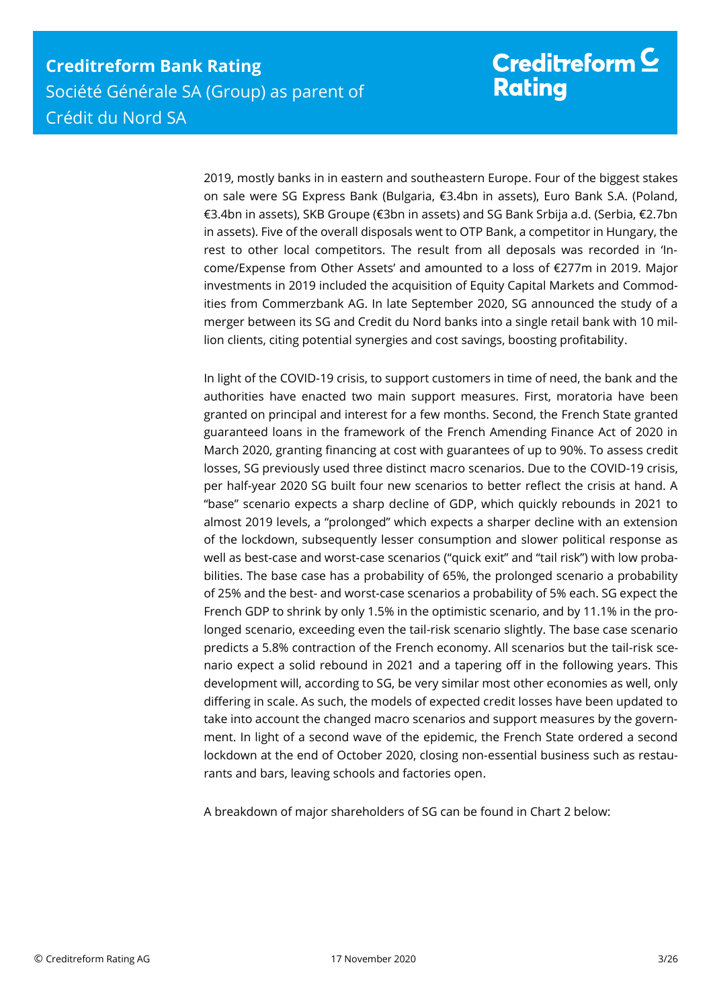2019, mostly banks in in eastern and southeastern Europe. Four of the biggest stakes on sale were SG Express Bank (Bulgaria, €3.4bn in assets), Euro Bank S.A. (Poland, €3.4bn in assets), SKB Groupe (€3bn in assets) and SG Bank Srbija a.d. (Serbia, €2.7bn in assets). Five of the overall disposals went to OTP Bank, a competitor in Hungary, the rest to other local competitors. The result from all deposals was recorded in 'Income/Expense from Other Assets' and amounted to a loss of €277m in 2019. Major investments in 2019 included the acquisition of Equity Capital Markets and Commodities from Commerzbank AG. In late September 2020, SG announced the study of a merger between its SG and Credit du Nord banks into a single retail bank with 10 million clients, citing potential synergies and cost savings, boosting profitability.

In light of the COVID-19 crisis, to support customers in time of need, the bank and the authorities have enacted two main support measures. First, moratoria have been granted on principal and interest for a few months. Second, the French State granted guaranteed loans in the framework of the French Amending Finance Act of 2020 in March 2020, granting financing at cost with guarantees of up to 90%. To assess credit losses, SG previously used three distinct macro scenarios. Due to the COVID-19 crisis, per half-year 2020 SG built four new scenarios to better reflect the crisis at hand. A "base" scenario expects a sharp decline of GDP, which quickly rebounds in 2021 to almost 2019 levels, a "prolonged" which expects a sharper decline with an extension of the lockdown, subsequently lesser consumption and slower political response as well as best-case and worst-case scenarios ("quick exit" and "tail risk") with low probabilities. The base case has a probability of 65%, the prolonged scenario a probability of 25% and the best- and worst-case scenarios a probability of 5% each. SG expect the French GDP to shrink by only 1.5% in the optimistic scenario, and by 11.1% in the prolonged scenario, exceeding even the tail-risk scenario slightly. The base case scenario predicts a 5.8% contraction of the French economy. All scenarios but the tail-risk scenario expect a solid rebound in 2021 and a tapering off in the following years. This development will, according to SG, be very similar most other economies as well, only differing in scale. As such, the models of expected credit losses have been updated to take into account the changed macro scenarios and support measures by the government. In light of a second wave of the epidemic, the French State ordered a second lockdown at the end of October 2020, closing non-essential business such as restaurants and bars, leaving schools and factories open.

A breakdown of major shareholders of SG can be found in Chart 2 below: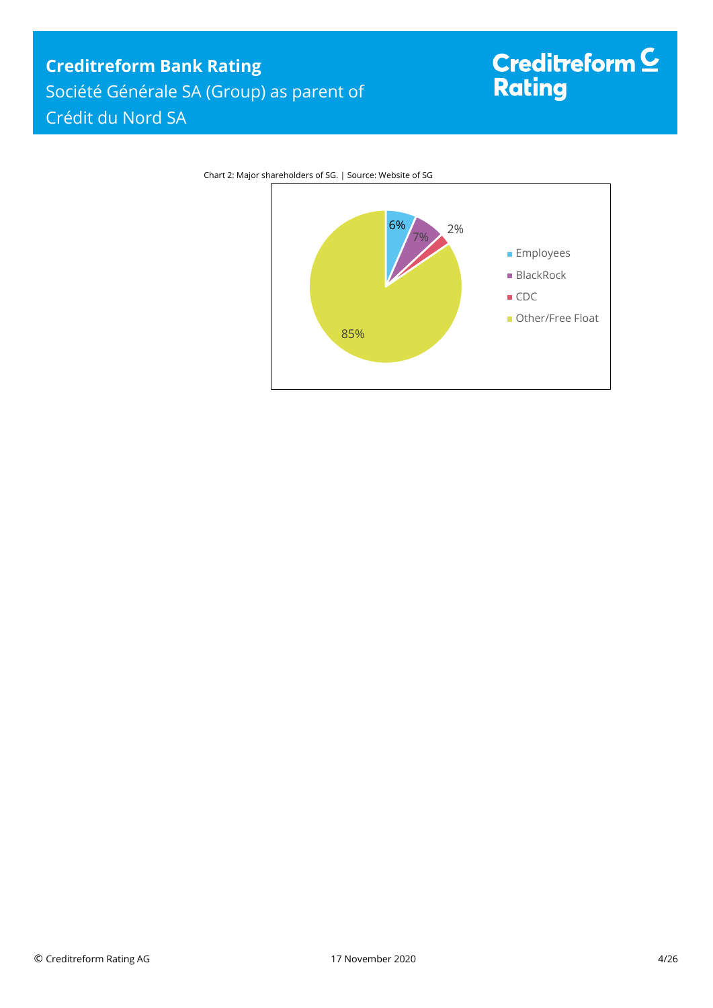# **Creditreform Bank Rating** Société Générale SA (Group) as parent of Crédit du Nord SA

# Creditreform <sup>C</sup><br>Rating



Chart 2: Major shareholders of SG. | Source: Website of SG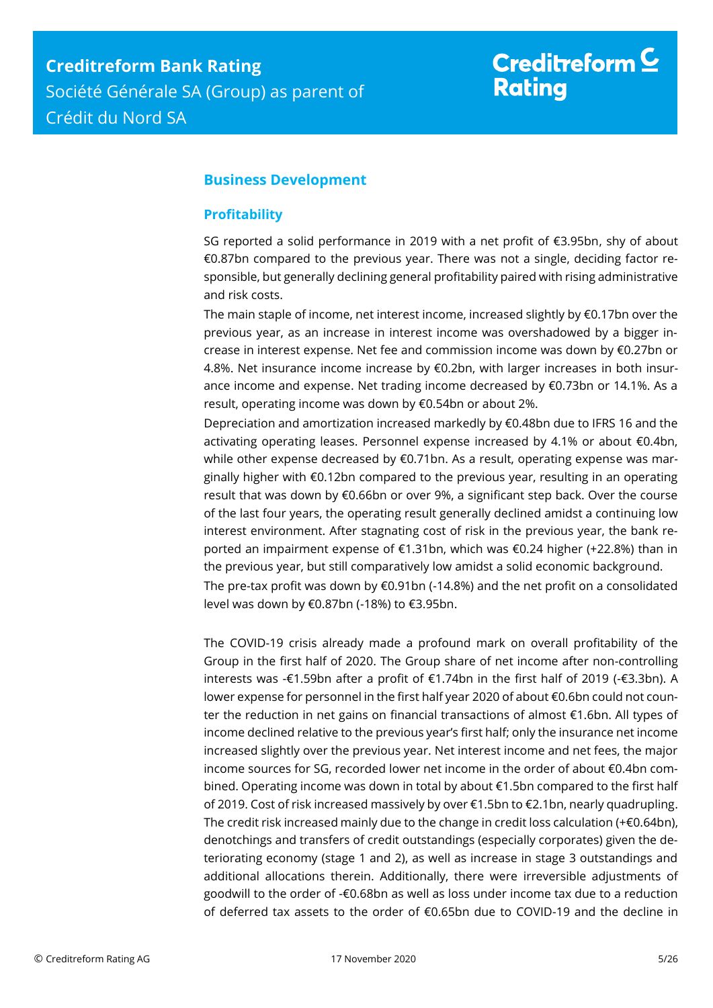# Creditreform  $\underline{\mathsf{C}}$ **Rating**

## <span id="page-4-0"></span>**Business Development**

## <span id="page-4-1"></span>**Profitability**

SG reported a solid performance in 2019 with a net profit of €3.95bn, shy of about €0.87bn compared to the previous year. There was not a single, deciding factor responsible, but generally declining general profitability paired with rising administrative and risk costs.

The main staple of income, net interest income, increased slightly by €0.17bn over the previous year, as an increase in interest income was overshadowed by a bigger increase in interest expense. Net fee and commission income was down by €0.27bn or 4.8%. Net insurance income increase by €0.2bn, with larger increases in both insurance income and expense. Net trading income decreased by €0.73bn or 14.1%. As a result, operating income was down by €0.54bn or about 2%.

Depreciation and amortization increased markedly by €0.48bn due to IFRS 16 and the activating operating leases. Personnel expense increased by 4.1% or about €0.4bn, while other expense decreased by €0.71bn. As a result, operating expense was marginally higher with €0.12bn compared to the previous year, resulting in an operating result that was down by €0.66bn or over 9%, a significant step back. Over the course of the last four years, the operating result generally declined amidst a continuing low interest environment. After stagnating cost of risk in the previous year, the bank reported an impairment expense of €1.31bn, which was €0.24 higher (+22.8%) than in the previous year, but still comparatively low amidst a solid economic background.

The pre-tax profit was down by  $\epsilon$ 0.91bn (-14.8%) and the net profit on a consolidated level was down by €0.87bn (-18%) to €3.95bn.

The COVID-19 crisis already made a profound mark on overall profitability of the Group in the first half of 2020. The Group share of net income after non-controlling interests was -€1.59bn after a profit of €1.74bn in the first half of 2019 (-€3.3bn). A lower expense for personnel in the first half year 2020 of about €0.6bn could not counter the reduction in net gains on financial transactions of almost €1.6bn. All types of income declined relative to the previous year's first half; only the insurance net income increased slightly over the previous year. Net interest income and net fees, the major income sources for SG, recorded lower net income in the order of about €0.4bn combined. Operating income was down in total by about €1.5bn compared to the first half of 2019. Cost of risk increased massively by over €1.5bn to €2.1bn, nearly quadrupling. The credit risk increased mainly due to the change in credit loss calculation (+ $\epsilon$ 0.64bn), denotchings and transfers of credit outstandings (especially corporates) given the deteriorating economy (stage 1 and 2), as well as increase in stage 3 outstandings and additional allocations therein. Additionally, there were irreversible adjustments of goodwill to the order of -€0.68bn as well as loss under income tax due to a reduction of deferred tax assets to the order of €0.65bn due to COVID-19 and the decline in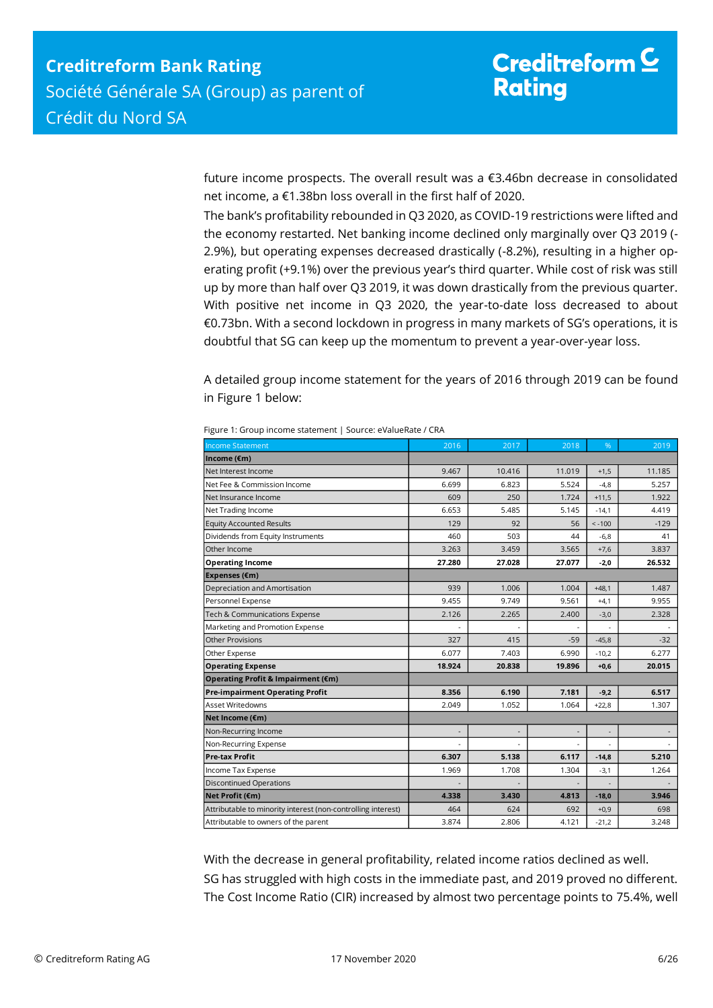future income prospects. The overall result was a €3.46bn decrease in consolidated net income, a €1.38bn loss overall in the first half of 2020.

The bank's profitability rebounded in Q3 2020, as COVID-19 restrictions were lifted and the economy restarted. Net banking income declined only marginally over Q3 2019 (- 2.9%), but operating expenses decreased drastically (-8.2%), resulting in a higher operating profit (+9.1%) over the previous year's third quarter. While cost of risk was still up by more than half over Q3 2019, it was down drastically from the previous quarter. With positive net income in Q3 2020, the year-to-date loss decreased to about €0.73bn. With a second lockdown in progress in many markets of SG's operations, it is doubtful that SG can keep up the momentum to prevent a year-over-year loss.

A detailed group income statement for the years of 2016 through 2019 can be found in Figure 1 below:

| <b>Income Statement</b>                                      | 2016   | 2017   | 2018                     | %                        | 2019   |
|--------------------------------------------------------------|--------|--------|--------------------------|--------------------------|--------|
| Income (€m)                                                  |        |        |                          |                          |        |
| Net Interest Income                                          | 9.467  | 10.416 | 11.019                   | $+1,5$                   | 11.185 |
| Net Fee & Commission Income                                  | 6.699  | 6.823  | 5.524                    | $-4,8$                   | 5.257  |
| Net Insurance Income                                         | 609    | 250    | 1.724                    | $+11,5$                  | 1.922  |
| Net Trading Income                                           | 6.653  | 5.485  | 5.145                    | $-14,1$                  | 4.419  |
| <b>Equity Accounted Results</b>                              | 129    | 92     | 56                       | $< -100$                 | $-129$ |
| Dividends from Equity Instruments                            | 460    | 503    | 44                       | $-6,8$                   | 41     |
| Other Income                                                 | 3.263  | 3.459  | 3.565                    | $+7,6$                   | 3.837  |
| <b>Operating Income</b>                                      | 27.280 | 27.028 | 27.077                   | $-2,0$                   | 26.532 |
| Expenses (€m)                                                |        |        |                          |                          |        |
| Depreciation and Amortisation                                | 939    | 1.006  | 1.004                    | $+48,1$                  | 1.487  |
| Personnel Expense                                            | 9.455  | 9.749  | 9.561                    | $+4,1$                   | 9.955  |
| Tech & Communications Expense                                | 2.126  | 2.265  | 2.400                    | $-3,0$                   | 2.328  |
| Marketing and Promotion Expense                              |        |        | $\overline{a}$           | ÷.                       |        |
| <b>Other Provisions</b>                                      | 327    | 415    | $-59$                    | $-45,8$                  | $-32$  |
| Other Expense                                                | 6.077  | 7.403  | 6.990                    | $-10,2$                  | 6.277  |
| <b>Operating Expense</b>                                     | 18.924 | 20.838 | 19.896                   | $+0,6$                   | 20.015 |
| Operating Profit & Impairment (€m)                           |        |        |                          |                          |        |
| <b>Pre-impairment Operating Profit</b>                       | 8.356  | 6.190  | 7.181                    | $-9,2$                   | 6.517  |
| <b>Asset Writedowns</b>                                      | 2.049  | 1.052  | 1.064                    | $+22,8$                  | 1.307  |
| Net Income (€m)                                              |        |        |                          |                          |        |
| Non-Recurring Income                                         |        |        | $\overline{\phantom{a}}$ | $\overline{\phantom{a}}$ |        |
| Non-Recurring Expense                                        |        |        |                          |                          |        |
| <b>Pre-tax Profit</b>                                        | 6.307  | 5.138  | 6.117                    | $-14,8$                  | 5.210  |
| Income Tax Expense                                           | 1.969  | 1.708  | 1.304                    | $-3,1$                   | 1.264  |
| <b>Discontinued Operations</b>                               |        |        | $\overline{\phantom{0}}$ | ٠                        |        |
| Net Profit (€m)                                              | 4.338  | 3.430  | 4.813                    | $-18,0$                  | 3.946  |
| Attributable to minority interest (non-controlling interest) | 464    | 624    | 692                      | $+0,9$                   | 698    |
| Attributable to owners of the parent                         | 3.874  | 2.806  | 4.121                    | $-21,2$                  | 3.248  |

Figure 1: Group income statement | Source: eValueRate / CRA

With the decrease in general profitability, related income ratios declined as well. SG has struggled with high costs in the immediate past, and 2019 proved no different. The Cost Income Ratio (CIR) increased by almost two percentage points to 75.4%, well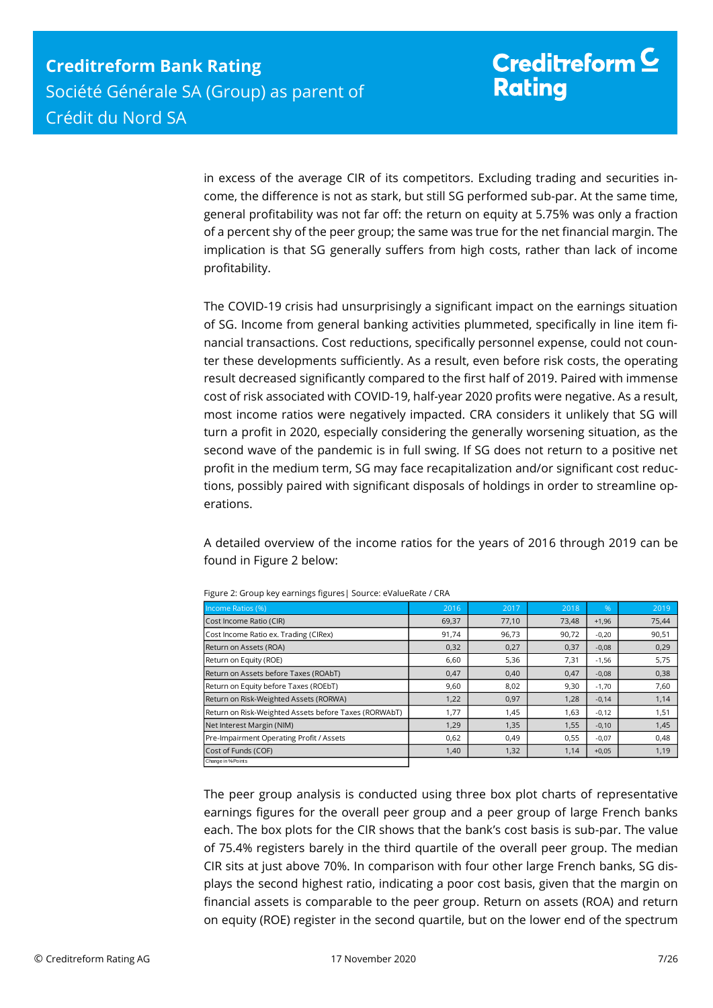in excess of the average CIR of its competitors. Excluding trading and securities income, the difference is not as stark, but still SG performed sub-par. At the same time, general profitability was not far off: the return on equity at 5.75% was only a fraction of a percent shy of the peer group; the same was true for the net financial margin. The implication is that SG generally suffers from high costs, rather than lack of income profitability.

The COVID-19 crisis had unsurprisingly a significant impact on the earnings situation of SG. Income from general banking activities plummeted, specifically in line item financial transactions. Cost reductions, specifically personnel expense, could not counter these developments sufficiently. As a result, even before risk costs, the operating result decreased significantly compared to the first half of 2019. Paired with immense cost of risk associated with COVID-19, half-year 2020 profits were negative. As a result, most income ratios were negatively impacted. CRA considers it unlikely that SG will turn a profit in 2020, especially considering the generally worsening situation, as the second wave of the pandemic is in full swing. If SG does not return to a positive net profit in the medium term, SG may face recapitalization and/or significant cost reductions, possibly paired with significant disposals of holdings in order to streamline operations.

A detailed overview of the income ratios for the years of 2016 through 2019 can be found in Figure 2 below:

| Income Ratios (%)                                                                                                                                                                                                                                                                                                                                           | 2016  | 2017  | 2018  | $\frac{9}{6}$ | 2019  |  |
|-------------------------------------------------------------------------------------------------------------------------------------------------------------------------------------------------------------------------------------------------------------------------------------------------------------------------------------------------------------|-------|-------|-------|---------------|-------|--|
| Cost Income Ratio (CIR)                                                                                                                                                                                                                                                                                                                                     | 69,37 | 77,10 | 73,48 | $+1,96$       | 75,44 |  |
| Cost Income Ratio ex. Trading (CIRex)                                                                                                                                                                                                                                                                                                                       | 91,74 | 96,73 | 90,72 | $-0.20$       | 90,51 |  |
| Return on Assets (ROA)                                                                                                                                                                                                                                                                                                                                      | 0,32  | 0,27  | 0,37  | $-0.08$       | 0,29  |  |
| Return on Equity (ROE)                                                                                                                                                                                                                                                                                                                                      | 6.60  | 5,36  | 7,31  | $-1.56$       | 5,75  |  |
| Return on Assets before Taxes (ROAbT)                                                                                                                                                                                                                                                                                                                       | 0.47  | 0,40  | 0,47  | $-0.08$       | 0,38  |  |
| Return on Equity before Taxes (ROEbT)                                                                                                                                                                                                                                                                                                                       | 9.60  | 8,02  | 9,30  | $-1.70$       | 7,60  |  |
| Return on Risk-Weighted Assets (RORWA)                                                                                                                                                                                                                                                                                                                      | 1,22  | 0,97  | 1,28  | $-0.14$       | 1,14  |  |
| Return on Risk-Weighted Assets before Taxes (RORWAbT)                                                                                                                                                                                                                                                                                                       | 1.77  | 1,45  | 1,63  | $-0.12$       | 1,51  |  |
| Net Interest Margin (NIM)                                                                                                                                                                                                                                                                                                                                   | 1,29  | 1,35  | 1,55  | $-0.10$       | 1,45  |  |
| Pre-Impairment Operating Profit / Assets                                                                                                                                                                                                                                                                                                                    | 0,62  | 0,49  | 0,55  | $-0.07$       | 0,48  |  |
| Cost of Funds (COF)<br>Change in % Points                                                                                                                                                                                                                                                                                                                   | 1,40  | 1,32  | 1,14  | $+0.05$       | 1,19  |  |
| The peer group analysis is conducted using three box plot charts of representative<br>earnings figures for the overall peer group and a peer group of large French banks<br>each. The box plots for the CIR shows that the bank's cost basis is sub-par. The value<br>of 75.4% registers barely in the third quartile of the overall peer group. The median |       |       |       |               |       |  |
|                                                                                                                                                                                                                                                                                                                                                             |       |       |       |               |       |  |
| CIR sits at just above 70%. In comparison with four other large French banks, SG dis-                                                                                                                                                                                                                                                                       |       |       |       |               |       |  |
| plays the second highest ratio, indicating a poor cost basis, given that the margin on                                                                                                                                                                                                                                                                      |       |       |       |               |       |  |
| financial assets is comparable to the peer group. Return on assets (ROA) and return                                                                                                                                                                                                                                                                         |       |       |       |               |       |  |
| on equity (ROE) register in the second quartile, but on the lower end of the spectrum                                                                                                                                                                                                                                                                       |       |       |       |               |       |  |

Figure 2: Group key earnings figures| Source: eValueRate / CRA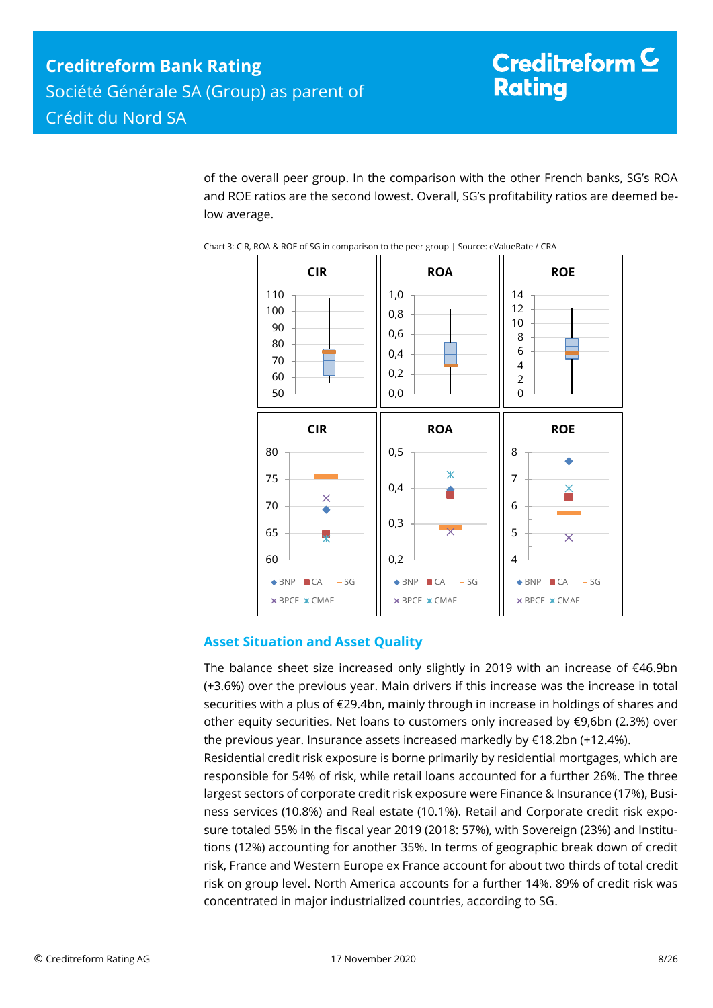of the overall peer group. In the comparison with the other French banks, SG's ROA and ROE ratios are the second lowest. Overall, SG's profitability ratios are deemed below average.





## <span id="page-7-0"></span>**Asset Situation and Asset Quality**

The balance sheet size increased only slightly in 2019 with an increase of €46.9bn (+3.6%) over the previous year. Main drivers if this increase was the increase in total securities with a plus of €29.4bn, mainly through in increase in holdings of shares and other equity securities. Net loans to customers only increased by €9,6bn (2.3%) over the previous year. Insurance assets increased markedly by €18.2bn (+12.4%). Residential credit risk exposure is borne primarily by residential mortgages, which are responsible for 54% of risk, while retail loans accounted for a further 26%. The three largest sectors of corporate credit risk exposure were Finance & Insurance (17%), Business services (10.8%) and Real estate (10.1%). Retail and Corporate credit risk exposure totaled 55% in the fiscal year 2019 (2018: 57%), with Sovereign (23%) and Institutions (12%) accounting for another 35%. In terms of geographic break down of credit risk, France and Western Europe ex France account for about two thirds of total credit risk on group level. North America accounts for a further 14%. 89% of credit risk was concentrated in major industrialized countries, according to SG.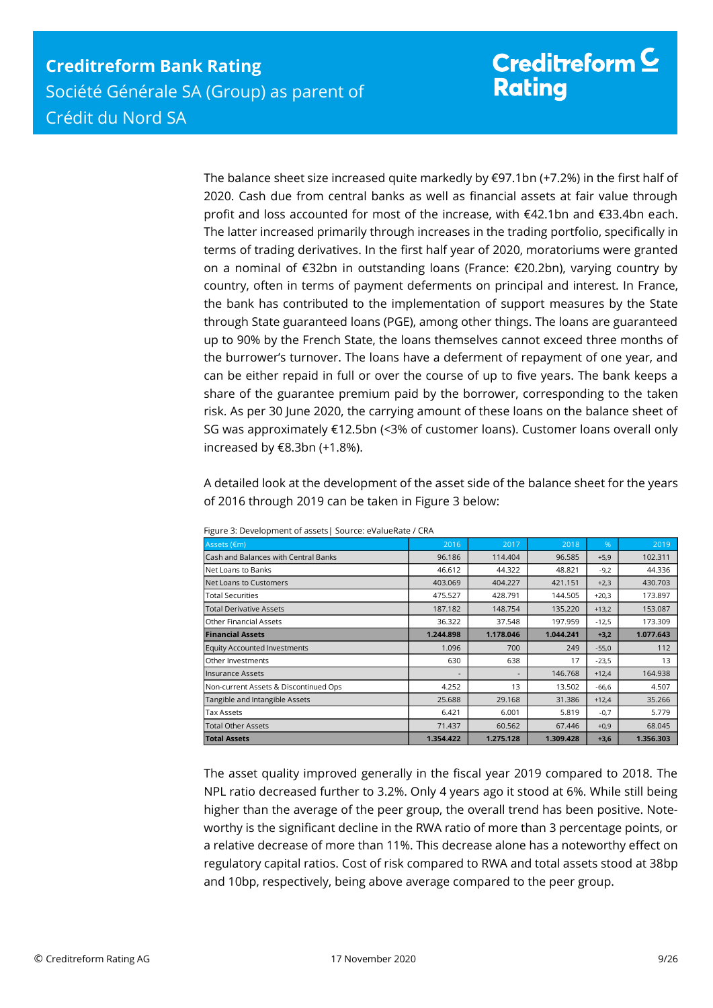The balance sheet size increased quite markedly by  $\epsilon$ 97.1bn (+7.2%) in the first half of 2020. Cash due from central banks as well as financial assets at fair value through profit and loss accounted for most of the increase, with €42.1bn and €33.4bn each. The latter increased primarily through increases in the trading portfolio, specifically in terms of trading derivatives. In the first half year of 2020, moratoriums were granted on a nominal of €32bn in outstanding loans (France: €20.2bn), varying country by country, often in terms of payment deferments on principal and interest. In France, the bank has contributed to the implementation of support measures by the State through State guaranteed loans (PGE), among other things. The loans are guaranteed up to 90% by the French State, the loans themselves cannot exceed three months of the burrower's turnover. The loans have a deferment of repayment of one year, and can be either repaid in full or over the course of up to five years. The bank keeps a share of the guarantee premium paid by the borrower, corresponding to the taken risk. As per 30 June 2020, the carrying amount of these loans on the balance sheet of SG was approximately €12.5bn (<3% of customer loans). Customer loans overall only increased by €8.3bn (+1.8%).

A detailed look at the development of the asset side of the balance sheet for the years of 2016 through 2019 can be taken in Figure 3 below:

| Assets (€m)                           | 2016      | 2017      | 2018      | $\%$    | 2019      |
|---------------------------------------|-----------|-----------|-----------|---------|-----------|
| Cash and Balances with Central Banks  | 96.186    | 114,404   | 96.585    | $+5,9$  | 102.311   |
| Net Loans to Banks                    | 46.612    | 44.322    | 48.821    | $-9,2$  | 44.336    |
| Net Loans to Customers                | 403.069   | 404.227   | 421.151   | $+2,3$  | 430.703   |
| <b>Total Securities</b>               | 475.527   | 428.791   | 144.505   | $+20,3$ | 173.897   |
| <b>Total Derivative Assets</b>        | 187.182   | 148.754   | 135.220   | $+13,2$ | 153.087   |
| <b>Other Financial Assets</b>         | 36.322    | 37.548    | 197.959   | $-12,5$ | 173.309   |
| <b>Financial Assets</b>               | 1.244.898 | 1.178.046 | 1.044.241 | $+3,2$  | 1.077.643 |
| <b>Equity Accounted Investments</b>   | 1.096     | 700       | 249       | $-55,0$ | 112       |
| Other Investments                     | 630       | 638       | 17        | $-23,5$ | 13        |
| <b>Insurance Assets</b>               |           |           | 146.768   | $+12,4$ | 164.938   |
| Non-current Assets & Discontinued Ops | 4.252     | 13        | 13.502    | $-66,6$ | 4.507     |
| Tangible and Intangible Assets        | 25.688    | 29.168    | 31.386    | $+12,4$ | 35.266    |
| <b>Tax Assets</b>                     | 6.421     | 6.001     | 5.819     | $-0,7$  | 5.779     |
| <b>Total Other Assets</b>             | 71.437    | 60.562    | 67.446    | $+0,9$  | 68.045    |
| <b>Total Assets</b>                   | 1.354.422 | 1.275.128 | 1.309.428 | $+3,6$  | 1.356.303 |

| Figure 3: Development of assets   Source: eValueRate / CRA |  |
|------------------------------------------------------------|--|
|------------------------------------------------------------|--|

The asset quality improved generally in the fiscal year 2019 compared to 2018. The NPL ratio decreased further to 3.2%. Only 4 years ago it stood at 6%. While still being higher than the average of the peer group, the overall trend has been positive. Noteworthy is the significant decline in the RWA ratio of more than 3 percentage points, or a relative decrease of more than 11%. This decrease alone has a noteworthy effect on regulatory capital ratios. Cost of risk compared to RWA and total assets stood at 38bp and 10bp, respectively, being above average compared to the peer group.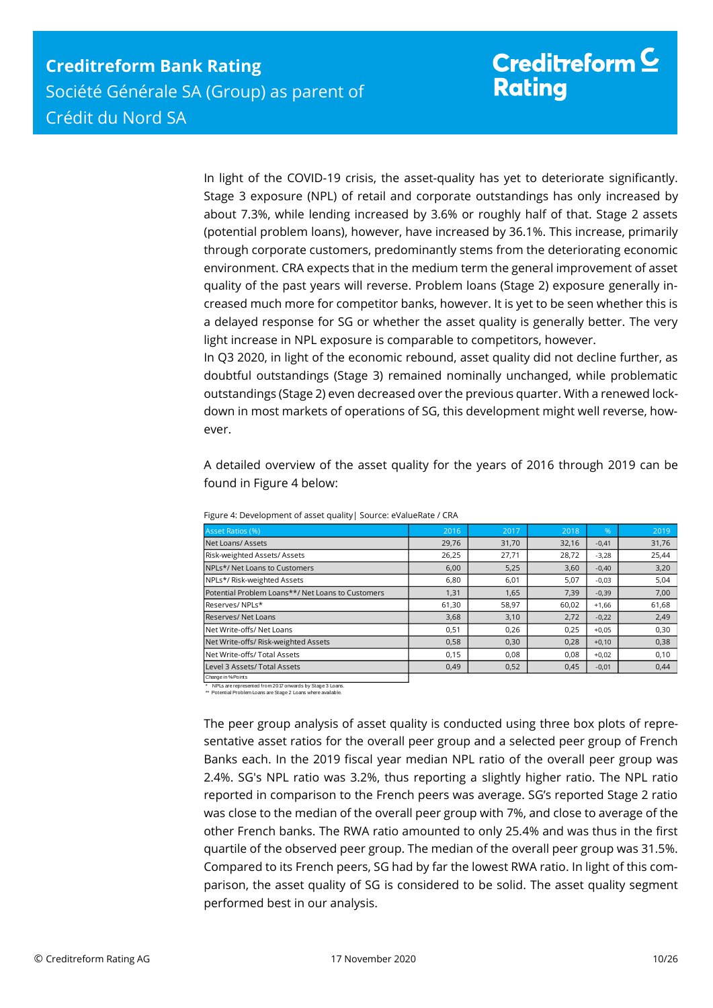In light of the COVID-19 crisis, the asset-quality has yet to deteriorate significantly. Stage 3 exposure (NPL) of retail and corporate outstandings has only increased by about 7.3%, while lending increased by 3.6% or roughly half of that. Stage 2 assets (potential problem loans), however, have increased by 36.1%. This increase, primarily through corporate customers, predominantly stems from the deteriorating economic environment. CRA expects that in the medium term the general improvement of asset quality of the past years will reverse. Problem loans (Stage 2) exposure generally increased much more for competitor banks, however. It is yet to be seen whether this is a delayed response for SG or whether the asset quality is generally better. The very light increase in NPL exposure is comparable to competitors, however.

In Q3 2020, in light of the economic rebound, asset quality did not decline further, as doubtful outstandings (Stage 3) remained nominally unchanged, while problematic outstandings (Stage 2) even decreased over the previous quarter. With a renewed lockdown in most markets of operations of SG, this development might well reverse, however.

A detailed overview of the asset quality for the years of 2016 through 2019 can be found in Figure 4 below:

| Asset Ratios (%)                                  | 2016  | 2017  | 2018  | $\%$    | 2019  |
|---------------------------------------------------|-------|-------|-------|---------|-------|
| Net Loans/Assets                                  | 29,76 | 31,70 | 32,16 | $-0,41$ | 31,76 |
| Risk-weighted Assets/Assets                       | 26,25 | 27,71 | 28,72 | $-3,28$ | 25,44 |
| NPLs*/ Net Loans to Customers                     | 6,00  | 5,25  | 3,60  | $-0,40$ | 3,20  |
| NPLs*/ Risk-weighted Assets                       | 6,80  | 6,01  | 5,07  | $-0,03$ | 5,04  |
| Potential Problem Loans**/ Net Loans to Customers | 1,31  | 1,65  | 7,39  | $-0,39$ | 7,00  |
| Reserves/NPLs*                                    | 61,30 | 58,97 | 60,02 | $+1,66$ | 61,68 |
| <b>Reserves/ Net Loans</b>                        | 3,68  | 3,10  | 2,72  | $-0,22$ | 2,49  |
| Net Write-offs/ Net Loans                         | 0,51  | 0,26  | 0,25  | $+0.05$ | 0,30  |
| Net Write-offs/ Risk-weighted Assets              | 0,58  | 0,30  | 0,28  | $+0,10$ | 0,38  |
| Net Write-offs/ Total Assets                      | 0,15  | 0.08  | 0.08  | $+0,02$ | 0,10  |
| Level 3 Assets/ Total Assets                      | 0,49  | 0,52  | 0,45  | $-0,01$ | 0,44  |
| Change in % Points                                |       |       |       |         |       |

Figure 4: Development of asset quality| Source: eValueRate / CRA

\* NPLs are represented from 2017 onwards by Stage 3 Loans. \*\* Potential Problem Loans are Stage 2 Loans where available.

The peer group analysis of asset quality is conducted using three box plots of representative asset ratios for the overall peer group and a selected peer group of French Banks each. In the 2019 fiscal year median NPL ratio of the overall peer group was 2.4%. SG's NPL ratio was 3.2%, thus reporting a slightly higher ratio. The NPL ratio reported in comparison to the French peers was average. SG's reported Stage 2 ratio was close to the median of the overall peer group with 7%, and close to average of the other French banks. The RWA ratio amounted to only 25.4% and was thus in the first quartile of the observed peer group. The median of the overall peer group was 31.5%. Compared to its French peers, SG had by far the lowest RWA ratio. In light of this comparison, the asset quality of SG is considered to be solid. The asset quality segment performed best in our analysis.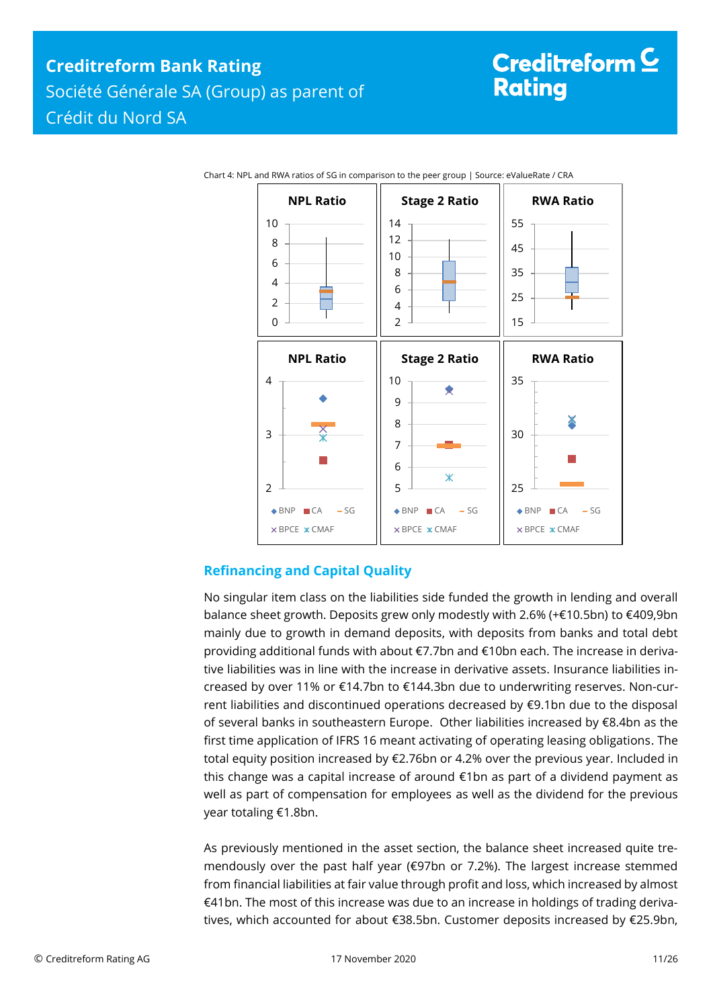

Chart 4: NPL and RWA ratios of SG in comparison to the peer group | Source: eValueRate / CRA

## <span id="page-10-0"></span>**Refinancing and Capital Quality**

No singular item class on the liabilities side funded the growth in lending and overall balance sheet growth. Deposits grew only modestly with 2.6% (+€10.5bn) to €409,9bn mainly due to growth in demand deposits, with deposits from banks and total debt providing additional funds with about €7.7bn and €10bn each. The increase in derivative liabilities was in line with the increase in derivative assets. Insurance liabilities increased by over 11% or €14.7bn to €144.3bn due to underwriting reserves. Non-current liabilities and discontinued operations decreased by €9.1bn due to the disposal of several banks in southeastern Europe. Other liabilities increased by €8.4bn as the first time application of IFRS 16 meant activating of operating leasing obligations. The total equity position increased by €2.76bn or 4.2% over the previous year. Included in this change was a capital increase of around €1bn as part of a dividend payment as well as part of compensation for employees as well as the dividend for the previous year totaling €1.8bn.

As previously mentioned in the asset section, the balance sheet increased quite tremendously over the past half year (€97bn or 7.2%). The largest increase stemmed from financial liabilities at fair value through profit and loss, which increased by almost €41bn. The most of this increase was due to an increase in holdings of trading derivatives, which accounted for about €38.5bn. Customer deposits increased by €25.9bn,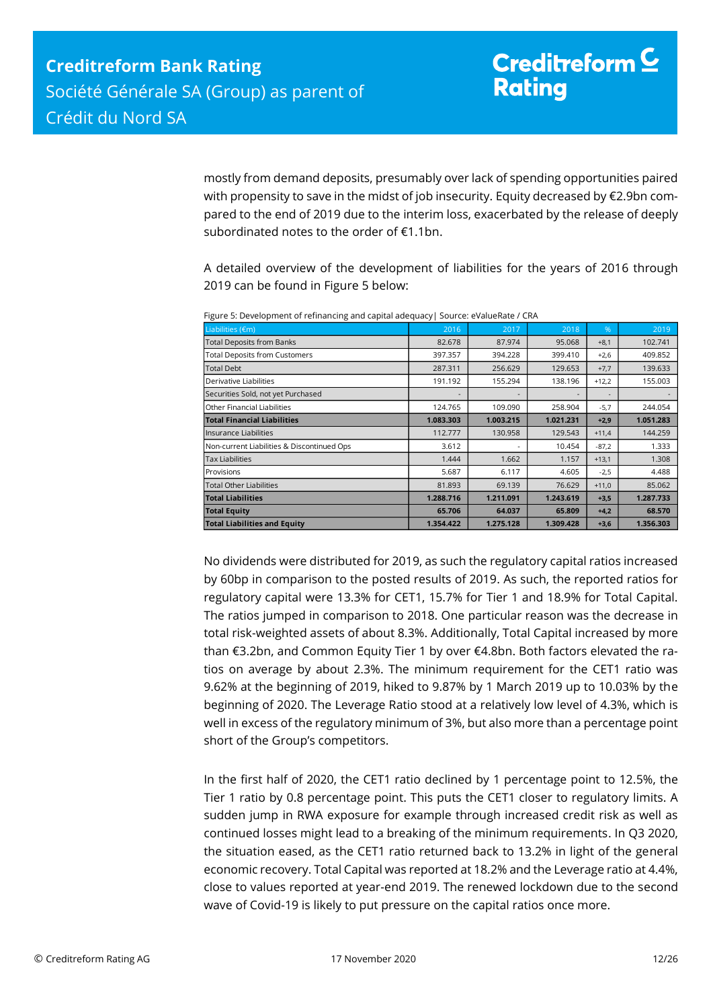mostly from demand deposits, presumably over lack of spending opportunities paired with propensity to save in the midst of job insecurity. Equity decreased by €2.9bn compared to the end of 2019 due to the interim loss, exacerbated by the release of deeply subordinated notes to the order of €1.1bn.

A detailed overview of the development of liabilities for the years of 2016 through 2019 can be found in Figure 5 below:

| Liabilities (€m)                           | 2016      | 2017      | 2018      | $\%$    | 2019      |
|--------------------------------------------|-----------|-----------|-----------|---------|-----------|
| <b>Total Deposits from Banks</b>           | 82.678    | 87.974    | 95.068    | $+8,1$  | 102.741   |
| <b>Total Deposits from Customers</b>       | 397.357   | 394.228   | 399.410   | $+2,6$  | 409.852   |
| <b>Total Debt</b>                          | 287.311   | 256.629   | 129.653   | $+7,7$  | 139.633   |
| Derivative Liabilities                     | 191.192   | 155.294   | 138.196   | $+12,2$ | 155.003   |
| Securities Sold, not yet Purchased         |           |           |           |         |           |
| Other Financial Liabilities                | 124.765   | 109.090   | 258.904   | $-5,7$  | 244.054   |
| <b>Total Financial Liabilities</b>         | 1.083.303 | 1.003.215 | 1.021.231 | $+2,9$  | 1.051.283 |
| Insurance Liabilities                      | 112.777   | 130.958   | 129.543   | $+11,4$ | 144.259   |
| Non-current Liabilities & Discontinued Ops | 3.612     |           | 10.454    | $-87,2$ | 1.333     |
| <b>Tax Liabilities</b>                     | 1.444     | 1.662     | 1.157     | $+13,1$ | 1.308     |
| Provisions                                 | 5.687     | 6.117     | 4.605     | $-2,5$  | 4.488     |
| <b>Total Other Liabilities</b>             | 81.893    | 69.139    | 76.629    | $+11,0$ | 85.062    |
| <b>Total Liabilities</b>                   | 1.288.716 | 1.211.091 | 1.243.619 | $+3,5$  | 1.287.733 |
| <b>Total Equity</b>                        | 65.706    | 64.037    | 65.809    | $+4,2$  | 68.570    |
| <b>Total Liabilities and Equity</b>        | 1.354.422 | 1.275.128 | 1.309.428 | $+3,6$  | 1.356.303 |

Figure 5: Development of refinancing and capital adequacy| Source: eValueRate / CRA

No dividends were distributed for 2019, as such the regulatory capital ratios increased by 60bp in comparison to the posted results of 2019. As such, the reported ratios for regulatory capital were 13.3% for CET1, 15.7% for Tier 1 and 18.9% for Total Capital. The ratios jumped in comparison to 2018. One particular reason was the decrease in total risk-weighted assets of about 8.3%. Additionally, Total Capital increased by more than €3.2bn, and Common Equity Tier 1 by over €4.8bn. Both factors elevated the ratios on average by about 2.3%. The minimum requirement for the CET1 ratio was 9.62% at the beginning of 2019, hiked to 9.87% by 1 March 2019 up to 10.03% by the beginning of 2020. The Leverage Ratio stood at a relatively low level of 4.3%, which is well in excess of the regulatory minimum of 3%, but also more than a percentage point short of the Group's competitors.

In the first half of 2020, the CET1 ratio declined by 1 percentage point to 12.5%, the Tier 1 ratio by 0.8 percentage point. This puts the CET1 closer to regulatory limits. A sudden jump in RWA exposure for example through increased credit risk as well as continued losses might lead to a breaking of the minimum requirements. In Q3 2020, the situation eased, as the CET1 ratio returned back to 13.2% in light of the general economic recovery. Total Capital was reported at 18.2% and the Leverage ratio at 4.4%, close to values reported at year-end 2019. The renewed lockdown due to the second wave of Covid-19 is likely to put pressure on the capital ratios once more.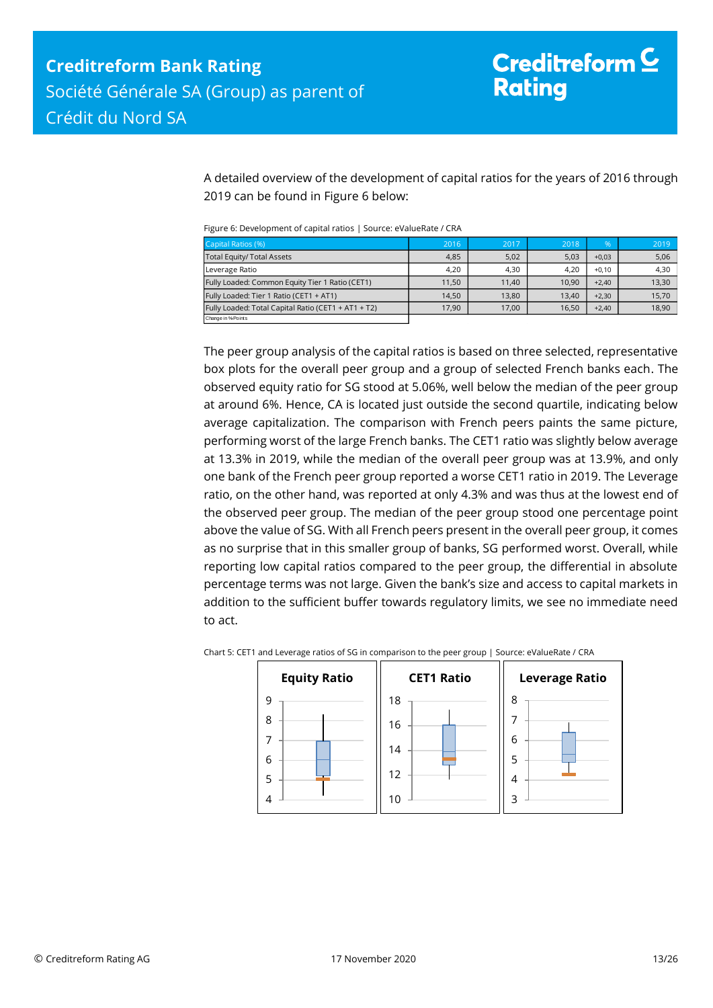A detailed overview of the development of capital ratios for the years of 2016 through 2019 can be found in Figure 6 below:

Figure 6: Development of capital ratios | Source: eValueRate / CRA

| Capital Ratios (%)                                  | 2016  | 2017  | 2018  | %       | 2019  |
|-----------------------------------------------------|-------|-------|-------|---------|-------|
| Total Equity/ Total Assets                          | 4,85  | 5,02  | 5,03  | $+0,03$ | 5,06  |
| Leverage Ratio                                      | 4.20  | 4.30  | 4.20  | $+0.10$ | 4,30  |
| Fully Loaded: Common Equity Tier 1 Ratio (CET1)     | 11.50 | 11.40 | 10.90 | $+2.40$ | 13,30 |
| Fully Loaded: Tier 1 Ratio (CET1 + AT1)             | 14.50 | 13.80 | 13.40 | $+2.30$ | 15,70 |
| Fully Loaded: Total Capital Ratio (CET1 + AT1 + T2) | 17.90 | 17.00 | 16,50 | $+2,40$ | 18,90 |
| Change in % Points                                  |       |       |       |         |       |

The peer group analysis of the capital ratios is based on three selected, representative box plots for the overall peer group and a group of selected French banks each. The observed equity ratio for SG stood at 5.06%, well below the median of the peer group at around 6%. Hence, CA is located just outside the second quartile, indicating below average capitalization. The comparison with French peers paints the same picture, performing worst of the large French banks. The CET1 ratio was slightly below average at 13.3% in 2019, while the median of the overall peer group was at 13.9%, and only one bank of the French peer group reported a worse CET1 ratio in 2019. The Leverage ratio, on the other hand, was reported at only 4.3% and was thus at the lowest end of the observed peer group. The median of the peer group stood one percentage point above the value of SG. With all French peers present in the overall peer group, it comes as no surprise that in this smaller group of banks, SG performed worst. Overall, while reporting low capital ratios compared to the peer group, the differential in absolute percentage terms was not large. Given the bank's size and access to capital markets in addition to the sufficient buffer towards regulatory limits, we see no immediate need to act.



Chart 5: CET1 and Leverage ratios of SG in comparison to the peer group | Source: eValueRate / CRA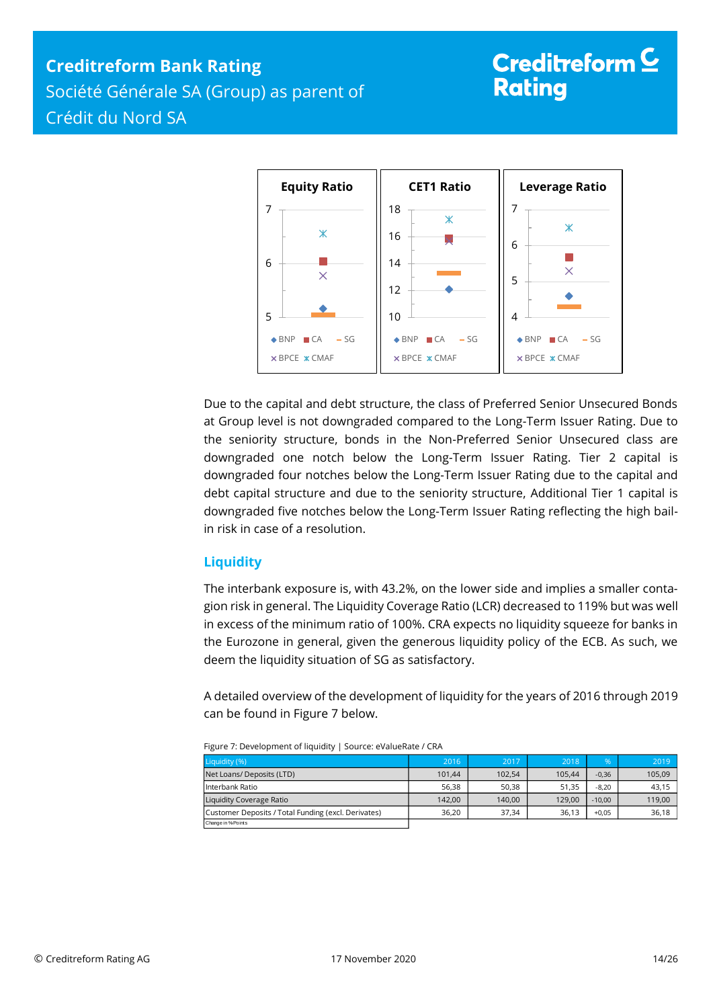# **Creditreform Bank Rating**

Société Générale SA (Group) as parent of Crédit du Nord SA

# Creditreform  $\subseteq$ **Rating**



Due to the capital and debt structure, the class of Preferred Senior Unsecured Bonds at Group level is not downgraded compared to the Long-Term Issuer Rating. Due to the seniority structure, bonds in the Non-Preferred Senior Unsecured class are downgraded one notch below the Long-Term Issuer Rating. Tier 2 capital is downgraded four notches below the Long-Term Issuer Rating due to the capital and debt capital structure and due to the seniority structure, Additional Tier 1 capital is downgraded five notches below the Long-Term Issuer Rating reflecting the high bailin risk in case of a resolution.

## <span id="page-13-0"></span>**Liquidity**

The interbank exposure is, with 43.2%, on the lower side and implies a smaller contagion risk in general. The Liquidity Coverage Ratio (LCR) decreased to 119% but was well in excess of the minimum ratio of 100%. CRA expects no liquidity squeeze for banks in the Eurozone in general, given the generous liquidity policy of the ECB. As such, we deem the liquidity situation of SG as satisfactory.

A detailed overview of the development of liquidity for the years of 2016 through 2019 can be found in Figure 7 below.

| Liquidity (%)                                       | 2016   | 2017   | 2018   | %        | 2019   |  |
|-----------------------------------------------------|--------|--------|--------|----------|--------|--|
| Net Loans/ Deposits (LTD)                           | 101.44 | 102.54 | 105.44 | $-0,36$  | 105,09 |  |
| l Interbank Ratio                                   | 56.38  | 50.38  | 51.35  | $-8.20$  | 43.15  |  |
| Liquidity Coverage Ratio                            | 142.00 | 140.00 | 129.00 | $-10.00$ | 119,00 |  |
| Customer Deposits / Total Funding (excl. Derivates) | 36.20  | 37.34  | 36.13  | $+0.05$  | 36,18  |  |
| Change in % Points                                  |        |        |        |          |        |  |

| Figure 7: Development of liquidity   Source: eValueRate / CRA |  |
|---------------------------------------------------------------|--|
|                                                               |  |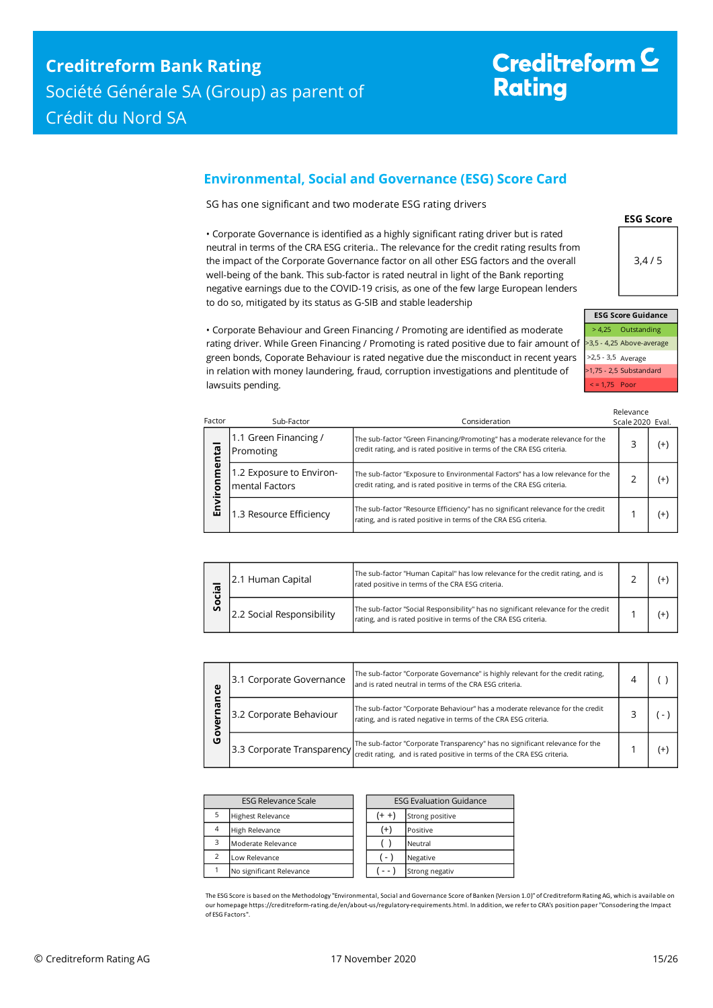## <span id="page-14-0"></span>**Environmental, Social and Governance (ESG) Score Card**

SG has one significant and two moderate ESG rating drivers

• Corporate Governance is identified as a highly significant rating driver but is rated neutral in terms of the CRA ESG criteria.. The relevance for the credit rating results from the impact of the Corporate Governance factor on all other ESG factors and the overall well-being of the bank. This sub-factor is rated neutral in light of the Bank reporting negative earnings due to the COVID-19 crisis, as one of the few large European lenders to do so, mitigated by its status as G-SIB and stable leadership



**ESG Score**

> 4,25 Outstanding >3,5 - 4,25 Above-average >2,5 - 3,5 Average >1,75 - 2,5 Substandard < = 1,75 Poor

• Corporate Behaviour and Green Financing / Promoting are identified as moderate rating driver. While Green Financing / Promoting is rated positive due to fair amount of green bonds, Coporate Behaviour is rated negative due the misconduct in recent years in relation with money laundering, fraud, corruption investigations and plentitude of lawsuits pending.

| Factor  | Sub-Factor                                 | Consideration                                                                                                                                            | Relevance<br>Scale 2020 Eval. |          |
|---------|--------------------------------------------|----------------------------------------------------------------------------------------------------------------------------------------------------------|-------------------------------|----------|
| ental   | 1.1 Green Financing /<br>Promoting         | The sub-factor "Green Financing/Promoting" has a moderate relevance for the<br>credit rating, and is rated positive in terms of the CRA ESG criteria.    |                               | $^{(+)}$ |
| ε<br>ā  | 1.2 Exposure to Environ-<br>mental Factors | The sub-factor "Exposure to Environmental Factors" has a low relevance for the<br>credit rating, and is rated positive in terms of the CRA ESG criteria. |                               | $^{(+)}$ |
| ا<br>Em | 1.3 Resource Efficiency                    | The sub-factor "Resource Efficiency" has no significant relevance for the credit<br>rating, and is rated positive in terms of the CRA ESG criteria.      |                               | $^{(+)}$ |

| <b>ro</b>    | 2.1 Human Capital         | The sub-factor "Human Capital" has low relevance for the credit rating, and is<br>rated positive in terms of the CRA ESG criteria.                    |  |
|--------------|---------------------------|-------------------------------------------------------------------------------------------------------------------------------------------------------|--|
| $\mathbf{v}$ | 2.2 Social Responsibility | The sub-factor "Social Responsibility" has no significant relevance for the credit<br>rating, and is rated positive in terms of the CRA ESG criteria. |  |

| ပ္ပ      | 3.1 Corporate Governance<br>and is rated neutral in terms of the CRA ESG criteria.<br>3.2 Corporate Behaviour<br>[3.3 Corporate Transparency] credit rating, and is rated positive in terms of the CRA ESG criteria. | The sub-factor "Corporate Governance" is highly relevant for the credit rating,                                                                 |          |
|----------|----------------------------------------------------------------------------------------------------------------------------------------------------------------------------------------------------------------------|-------------------------------------------------------------------------------------------------------------------------------------------------|----------|
| <b>G</b> |                                                                                                                                                                                                                      | The sub-factor "Corporate Behaviour" has a moderate relevance for the credit<br>rating, and is rated negative in terms of the CRA ESG criteria. |          |
| o<br>Ū   |                                                                                                                                                                                                                      | The sub-factor "Corporate Transparency" has no significant relevance for the                                                                    | $^{(+)}$ |

| <b>ESG Relevance Scale</b> |                          |  | <b>ESG Evaluation Guidance</b> |                 |  |  |
|----------------------------|--------------------------|--|--------------------------------|-----------------|--|--|
| 5                          | <b>Highest Relevance</b> |  | (+ +                           | Strong positive |  |  |
| $\overline{4}$             | High Relevance           |  | $^{(+)}$                       | Positive        |  |  |
| 3                          | Moderate Relevance       |  |                                | Neutral         |  |  |
| $\mathcal{P}$              | Low Relevance            |  | $\blacksquare$                 | Negative        |  |  |
|                            | No significant Relevance |  |                                | Strong negativ  |  |  |

The ESG Score is based on the Methodology "Environmental, Social and Governance Score of Banken (Version 1.0)" of Creditreform Rating AG, which is available on our homepage https://creditreform-rating.de/en/about-us/regulatory-requirements.html. In addition, we refer to CRA's position paper "Consodering the Impact of ESG Factors".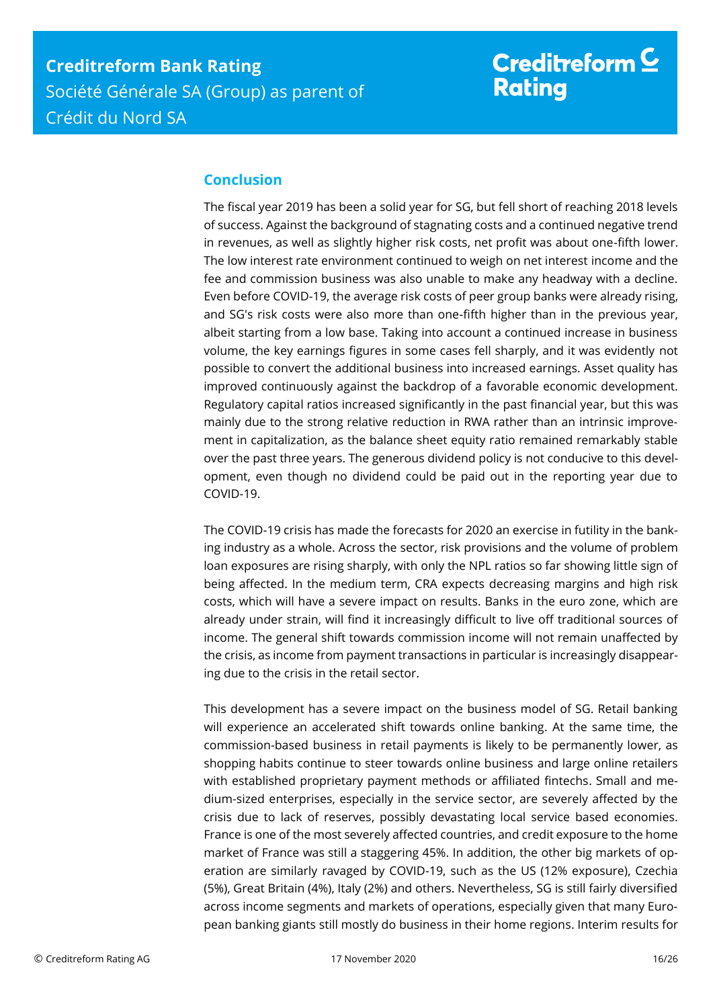# Creditreform  $\underline{\mathsf{C}}$ **Rating**

## <span id="page-15-0"></span>**Conclusion**

The fiscal year 2019 has been a solid year for SG, but fell short of reaching 2018 levels of success. Against the background of stagnating costs and a continued negative trend in revenues, as well as slightly higher risk costs, net profit was about one-fifth lower. The low interest rate environment continued to weigh on net interest income and the fee and commission business was also unable to make any headway with a decline. Even before COVID-19, the average risk costs of peer group banks were already rising, and SG's risk costs were also more than one-fifth higher than in the previous year, albeit starting from a low base. Taking into account a continued increase in business volume, the key earnings figures in some cases fell sharply, and it was evidently not possible to convert the additional business into increased earnings. Asset quality has improved continuously against the backdrop of a favorable economic development. Regulatory capital ratios increased significantly in the past financial year, but this was mainly due to the strong relative reduction in RWA rather than an intrinsic improvement in capitalization, as the balance sheet equity ratio remained remarkably stable over the past three years. The generous dividend policy is not conducive to this development, even though no dividend could be paid out in the reporting year due to COVID-19.

The COVID-19 crisis has made the forecasts for 2020 an exercise in futility in the banking industry as a whole. Across the sector, risk provisions and the volume of problem loan exposures are rising sharply, with only the NPL ratios so far showing little sign of being affected. In the medium term, CRA expects decreasing margins and high risk costs, which will have a severe impact on results. Banks in the euro zone, which are already under strain, will find it increasingly difficult to live off traditional sources of income. The general shift towards commission income will not remain unaffected by the crisis, as income from payment transactions in particular is increasingly disappearing due to the crisis in the retail sector.

This development has a severe impact on the business model of SG. Retail banking will experience an accelerated shift towards online banking. At the same time, the commission-based business in retail payments is likely to be permanently lower, as shopping habits continue to steer towards online business and large online retailers with established proprietary payment methods or affiliated fintechs. Small and medium-sized enterprises, especially in the service sector, are severely affected by the crisis due to lack of reserves, possibly devastating local service based economies. France is one of the most severely affected countries, and credit exposure to the home market of France was still a staggering 45%. In addition, the other big markets of operation are similarly ravaged by COVID-19, such as the US (12% exposure), Czechia (5%), Great Britain (4%), Italy (2%) and others. Nevertheless, SG is still fairly diversified across income segments and markets of operations, especially given that many European banking giants still mostly do business in their home regions. Interim results for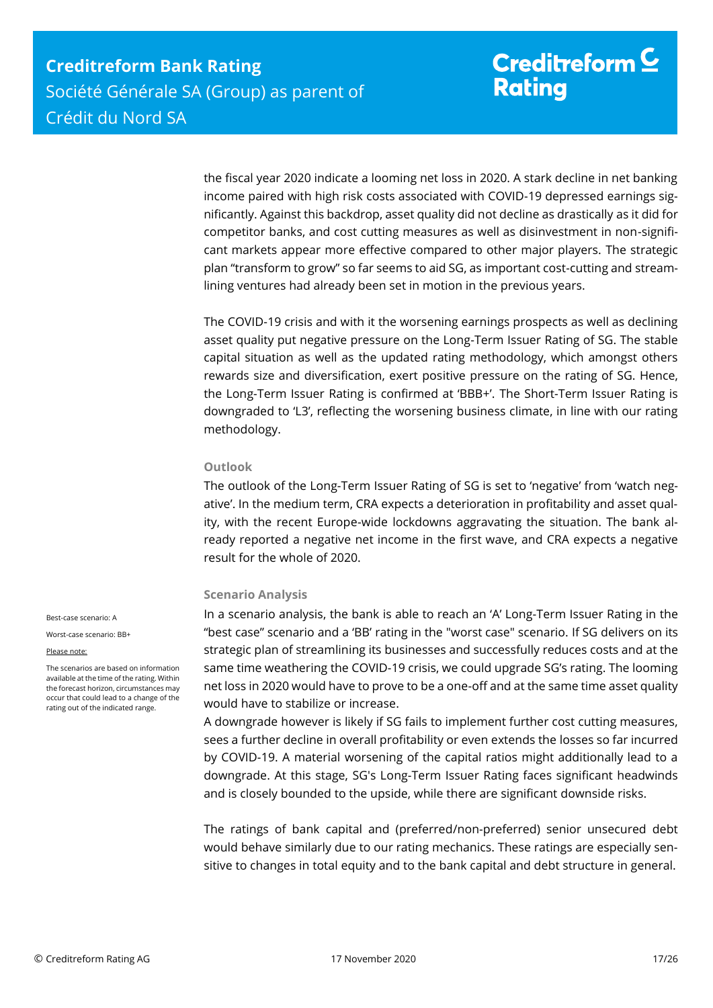the fiscal year 2020 indicate a looming net loss in 2020. A stark decline in net banking income paired with high risk costs associated with COVID-19 depressed earnings significantly. Against this backdrop, asset quality did not decline as drastically as it did for competitor banks, and cost cutting measures as well as disinvestment in non-significant markets appear more effective compared to other major players. The strategic plan "transform to grow" so far seems to aid SG, as important cost-cutting and streamlining ventures had already been set in motion in the previous years.

The COVID-19 crisis and with it the worsening earnings prospects as well as declining asset quality put negative pressure on the Long-Term Issuer Rating of SG. The stable capital situation as well as the updated rating methodology, which amongst others rewards size and diversification, exert positive pressure on the rating of SG. Hence, the Long-Term Issuer Rating is confirmed at 'BBB+'. The Short-Term Issuer Rating is downgraded to 'L3', reflecting the worsening business climate, in line with our rating methodology.

### **Outlook**

The outlook of the Long-Term Issuer Rating of SG is set to 'negative' from 'watch negative'. In the medium term, CRA expects a deterioration in profitability and asset quality, with the recent Europe-wide lockdowns aggravating the situation. The bank already reported a negative net income in the first wave, and CRA expects a negative result for the whole of 2020.

## **Scenario Analysis**

In a scenario analysis, the bank is able to reach an 'A' Long-Term Issuer Rating in the "best case" scenario and a 'BB' rating in the "worst case" scenario. If SG delivers on its strategic plan of streamlining its businesses and successfully reduces costs and at the same time weathering the COVID-19 crisis, we could upgrade SG's rating. The looming net loss in 2020 would have to prove to be a one-off and at the same time asset quality would have to stabilize or increase.

A downgrade however is likely if SG fails to implement further cost cutting measures, sees a further decline in overall profitability or even extends the losses so far incurred by COVID-19. A material worsening of the capital ratios might additionally lead to a downgrade. At this stage, SG's Long-Term Issuer Rating faces significant headwinds and is closely bounded to the upside, while there are significant downside risks.

The ratings of bank capital and (preferred/non-preferred) senior unsecured debt would behave similarly due to our rating mechanics. These ratings are especially sensitive to changes in total equity and to the bank capital and debt structure in general.

Best-case scenario: A

Worst-case scenario: BB+

#### Please note:

The scenarios are based on information available at the time of the rating. Within the forecast horizon, circumstances may occur that could lead to a change of the rating out of the indicated range.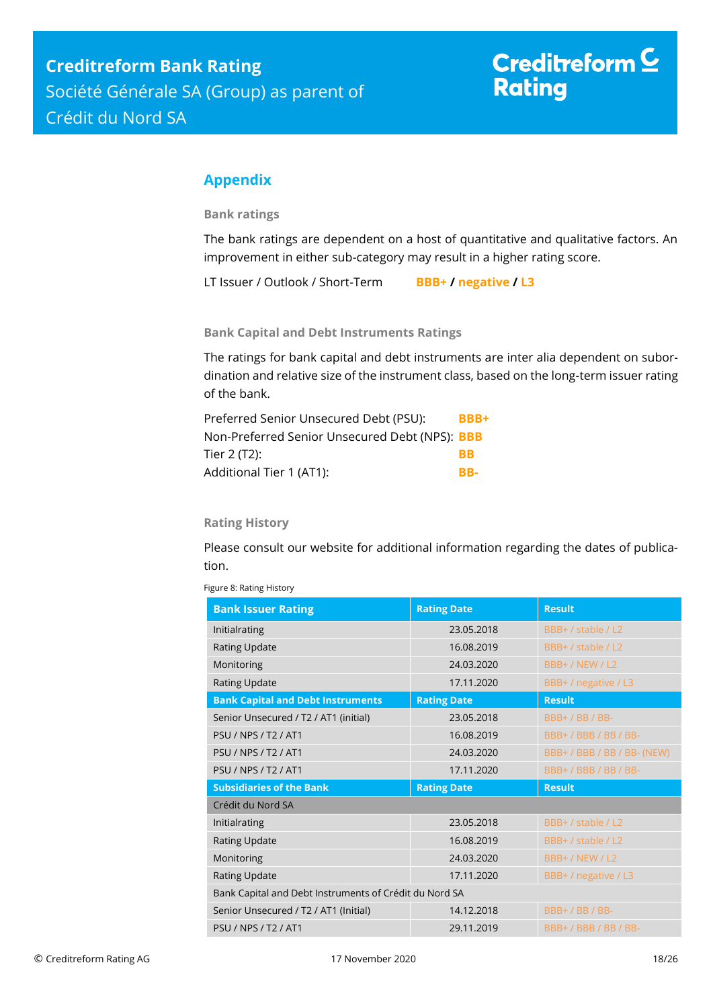## <span id="page-17-0"></span>**Appendix**

**Bank ratings**

The bank ratings are dependent on a host of quantitative and qualitative factors. An improvement in either sub-category may result in a higher rating score.

LT Issuer / Outlook / Short-Term **BBB+ / negative / L3**

**Bank Capital and Debt Instruments Ratings**

The ratings for bank capital and debt instruments are inter alia dependent on subordination and relative size of the instrument class, based on the long-term issuer rating of the bank.

| Preferred Senior Unsecured Debt (PSU):                | BBB+      |
|-------------------------------------------------------|-----------|
| Non-Preferred Senior Unsecured Debt (NPS): <b>BBB</b> |           |
| Tier 2 (T2):                                          | <b>RR</b> |
| Additional Tier 1 (AT1):                              | RR-       |

## **Rating History**

Please consult our website for additional information regarding the dates of publication.

| <b>Bank Issuer Rating</b>                              | <b>Rating Date</b> | <b>Result</b>        |
|--------------------------------------------------------|--------------------|----------------------|
| Initialrating                                          | 23.05.2018         | BBB+ / stable / L2   |
| Rating Update                                          | 16.08.2019         | BBB+ / stable / L2   |
| Monitoring                                             | 24.03.2020         | <b>BBB+/NEW/L2</b>   |
| <b>Rating Update</b>                                   | 17.11.2020         | BBB+ / negative / L3 |
| <b>Bank Capital and Debt Instruments</b>               | <b>Rating Date</b> | <b>Result</b>        |
| Senior Unsecured / T2 / AT1 (initial)                  | 23.05.2018         | BBB+/BB/BB-          |
| <b>PSU / NPS / T2 / AT1</b>                            | 16.08.2019         | BBB+/BBB/BB/BB-      |
| PSU / NPS / T2 / AT1                                   | 24.03.2020         | BBB+/BBB/BB/BB-(NEW) |
| PSIJ/NPS/T2/AT1                                        | 17.11.2020         | BBB+/BBB/BB/BB-      |
| <b>Subsidiaries of the Bank</b>                        | <b>Rating Date</b> | <b>Result</b>        |
| Crédit du Nord SA                                      |                    |                      |
| Initialrating                                          | 23.05.2018         | BBB+ / stable / L2   |
| Rating Update                                          | 16.08.2019         | BBB+ / stable / L2   |
| Monitoring                                             | 24.03.2020         | BBB+/NEW/L2          |
| Rating Update                                          | 17.11.2020         | BBB+ / negative / L3 |
| Bank Capital and Debt Instruments of Crédit du Nord SA |                    |                      |
| Senior Unsecured / T2 / AT1 (Initial)                  | 14.12.2018         | <b>BBB+/BB/BB-</b>   |
| <b>PSU / NPS / T2 / AT1</b>                            | 29.11.2019         | BBB+/BBB/BB/BB-      |

Figure 8: Rating History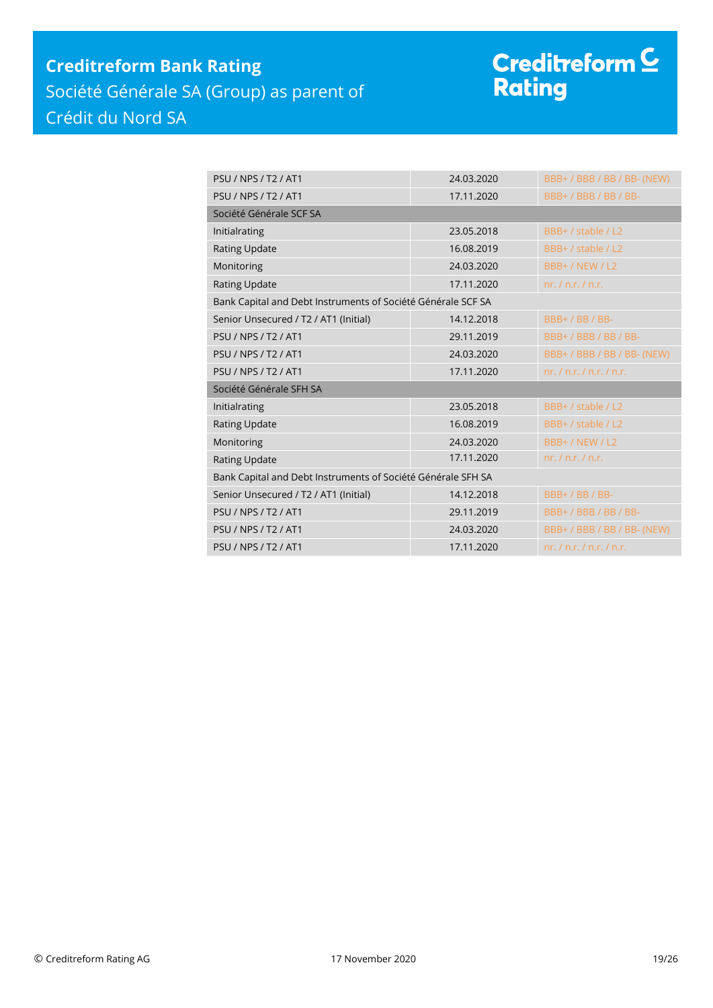# **Creditreform Bank Rating** Société Générale SA (Group) as parent of Crédit du Nord SA

# Creditreform <sup>C</sup><br>Rating

| <b>PSIJ/NPS/T2/AT1</b>                                       | 24.03.2020 | BBB+/BBB/BB/BB-(NEW)          |
|--------------------------------------------------------------|------------|-------------------------------|
| <b>PSU / NPS / T2 / AT1</b>                                  | 17.11.2020 | BBB+/BBB/BB/BB-               |
| Société Générale SCF SA                                      |            |                               |
| Initialrating                                                | 23.05.2018 | BBB+ / stable / L2            |
| Rating Update                                                | 16.08.2019 | BBB+ / stable / L2            |
| Monitoring                                                   | 24.03.2020 | BBB+/NEW/L2                   |
| Rating Update                                                | 17.11.2020 | nr, / n.r, / n.r.             |
| Bank Capital and Debt Instruments of Société Générale SCF SA |            |                               |
| Senior Unsecured / T2 / AT1 (Initial)                        | 14.12.2018 | BBB+/BB/BB-                   |
| <b>PSU / NPS / T2 / AT1</b>                                  | 29.11.2019 | BBB+/BBB/BB/BB-               |
| <b>PSU / NPS / T2 / AT1</b>                                  | 24.03.2020 | BBB+/BBB/BB/BB-(NEW)          |
| <b>PSU / NPS / T2 / AT1</b>                                  | 17.11.2020 | nr, / n.r, / n.r, / n.r.      |
| Société Générale SFH SA                                      |            |                               |
| Initialrating                                                | 23.05.2018 | BBB+ / stable / L2            |
| Rating Update                                                | 16.08.2019 | BBB+ / stable / L2            |
| Monitoring                                                   | 24.03.2020 | BBB+/NEW/L2                   |
| <b>Rating Update</b>                                         | 17.11.2020 | nr, / n.r, / n.r.             |
| Bank Capital and Debt Instruments of Société Générale SFH SA |            |                               |
| Senior Unsecured / T2 / AT1 (Initial)                        | 14.12.2018 | BBB+/BB/BB-                   |
| PSU / NPS / T2 / AT1                                         | 29.11.2019 | BBB+/BBB/BB/BB-               |
| <b>PSU / NPS / T2 / AT1</b>                                  | 24.03.2020 | BBB+/BBB/BB/BB-(NEW)          |
| <b>PSU / NPS / T2 / AT1</b>                                  | 17.11.2020 | nr, l, n, r, l, n, r, l, n, r |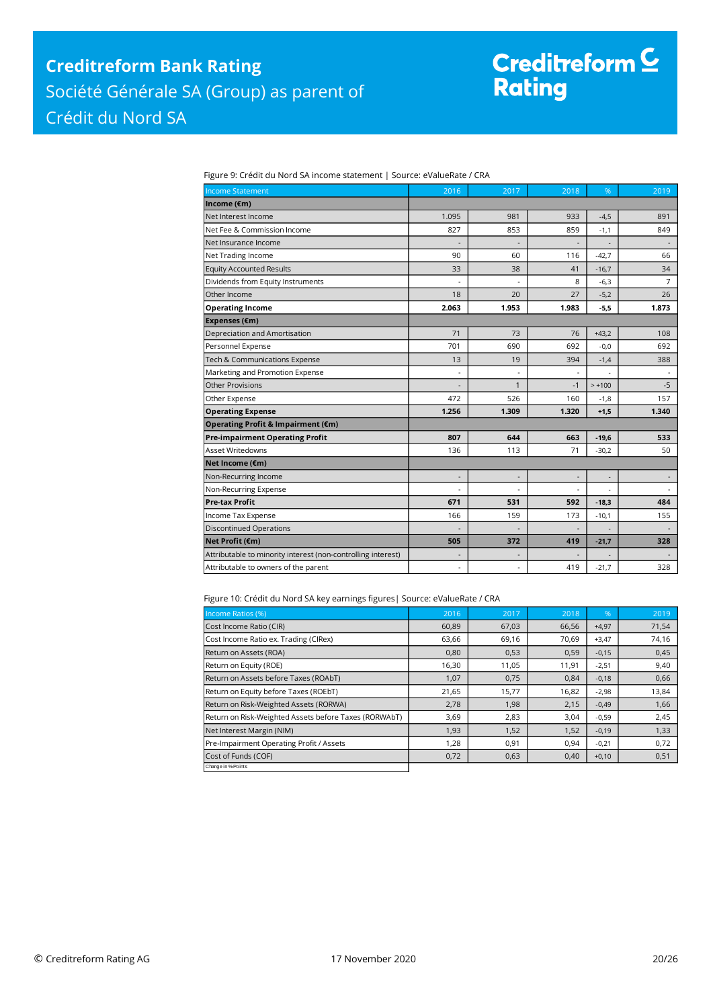# Creditreform C<br>Rating

Figure 9: Crédit du Nord SA income statement | Source: eValueRate / CRA

| <b>Income Statement</b>                                      | 2016                     | 2017         | 2018           | %                        | 2019           |
|--------------------------------------------------------------|--------------------------|--------------|----------------|--------------------------|----------------|
| Income (€m)                                                  |                          |              |                |                          |                |
| Net Interest Income                                          | 1.095                    | 981          | 933            | $-4,5$                   | 891            |
| Net Fee & Commission Income                                  | 827                      | 853          | 859            | $-1,1$                   | 849            |
| Net Insurance Income                                         |                          |              |                |                          |                |
| Net Trading Income                                           | 90                       | 60           | 116            | $-42,7$                  | 66             |
| <b>Equity Accounted Results</b>                              | 33                       | 38           | 41             | $-16,7$                  | 34             |
| Dividends from Equity Instruments                            |                          |              | 8              | $-6,3$                   | $\overline{7}$ |
| Other Income                                                 | 18                       | 20           | 27             | $-5,2$                   | 26             |
| <b>Operating Income</b>                                      | 2.063                    | 1.953        | 1.983          | $-5,5$                   | 1.873          |
| Expenses (€m)                                                |                          |              |                |                          |                |
| Depreciation and Amortisation                                | 71                       | 73           | 76             | $+43,2$                  | 108            |
| Personnel Expense                                            | 701                      | 690          | 692            | $-0,0$                   | 692            |
| Tech & Communications Expense                                | 13                       | 19           | 394            | $-1,4$                   | 388            |
| Marketing and Promotion Expense                              | ÷,                       |              | ÷,             |                          |                |
| <b>Other Provisions</b>                                      |                          | $\mathbf{1}$ | $-1$           | $> +100$                 | $-5$           |
| Other Expense                                                | 472                      | 526          | 160            | $-1,8$                   | 157            |
| <b>Operating Expense</b>                                     | 1.256                    | 1.309        | 1.320          | $+1,5$                   | 1.340          |
| Operating Profit & Impairment (€m)                           |                          |              |                |                          |                |
| <b>Pre-impairment Operating Profit</b>                       | 807                      | 644          | 663            | $-19,6$                  | 533            |
| Asset Writedowns                                             | 136                      | 113          | 71             | $-30,2$                  | 50             |
| Net Income (€m)                                              |                          |              |                |                          |                |
| Non-Recurring Income                                         | $\overline{\phantom{a}}$ |              | $\overline{a}$ | $\overline{\phantom{0}}$ |                |
| Non-Recurring Expense                                        |                          |              |                |                          |                |
| <b>Pre-tax Profit</b>                                        | 671                      | 531          | 592            | $-18,3$                  | 484            |
| Income Tax Expense                                           | 166                      | 159          | 173            | $-10,1$                  | 155            |
| <b>Discontinued Operations</b>                               |                          |              |                |                          |                |
| Net Profit (€m)                                              | 505                      | 372          | 419            | $-21,7$                  | 328            |
| Attributable to minority interest (non-controlling interest) | $\overline{a}$           |              |                |                          |                |
| Attributable to owners of the parent                         | $\overline{\phantom{a}}$ | ä,           | 419            | $-21,7$                  | 328            |

Figure 10: Crédit du Nord SA key earnings figures| Source: eValueRate / CRA

| Income Ratios (%)                                     | 2016  | 2017  | 2018  | $\%$    | 2019  |
|-------------------------------------------------------|-------|-------|-------|---------|-------|
| Cost Income Ratio (CIR)                               | 60,89 | 67,03 | 66,56 | $+4,97$ | 71,54 |
| Cost Income Ratio ex. Trading (CIRex)                 | 63,66 | 69,16 | 70,69 | $+3,47$ | 74,16 |
| Return on Assets (ROA)                                | 0,80  | 0,53  | 0,59  | $-0,15$ | 0,45  |
| Return on Equity (ROE)                                | 16,30 | 11,05 | 11,91 | $-2,51$ | 9,40  |
| Return on Assets before Taxes (ROAbT)                 | 1,07  | 0,75  | 0,84  | $-0,18$ | 0,66  |
| Return on Equity before Taxes (ROEbT)                 | 21,65 | 15,77 | 16,82 | $-2,98$ | 13,84 |
| Return on Risk-Weighted Assets (RORWA)                | 2,78  | 1,98  | 2,15  | $-0,49$ | 1,66  |
| Return on Risk-Weighted Assets before Taxes (RORWAbT) | 3,69  | 2,83  | 3,04  | $-0,59$ | 2,45  |
| Net Interest Margin (NIM)                             | 1,93  | 1,52  | 1,52  | $-0,19$ | 1,33  |
| Pre-Impairment Operating Profit / Assets              | 1,28  | 0,91  | 0,94  | $-0,21$ | 0,72  |
| Cost of Funds (COF)                                   | 0,72  | 0,63  | 0,40  | $+0,10$ | 0,51  |
| Change in % Points                                    |       |       |       |         |       |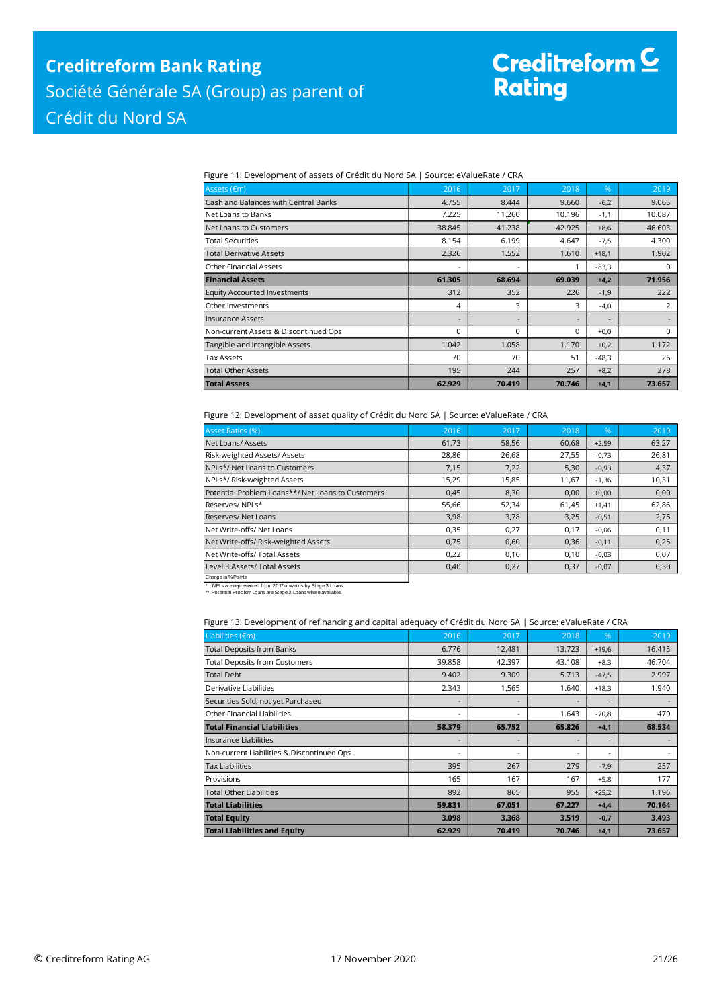# Creditreform <mark>C</mark><br>Rating

Figure 11: Development of assets of Crédit du Nord SA | Source: eValueRate / CRA

| Assets (€m)                           | 2016                     | 2017     | 2018     | $\%$                     | 2019     |
|---------------------------------------|--------------------------|----------|----------|--------------------------|----------|
| Cash and Balances with Central Banks  | 4.755                    | 8.444    | 9.660    | $-6,2$                   | 9.065    |
| lNet Loans to Banks                   | 7.225                    | 11.260   | 10.196   | $-1,1$                   | 10.087   |
| Net Loans to Customers                | 38.845                   | 41.238   | 42.925   | $+8,6$                   | 46.603   |
| <b>Total Securities</b>               | 8.154                    | 6.199    | 4.647    | $-7,5$                   | 4.300    |
| <b>Total Derivative Assets</b>        | 2.326                    | 1.552    | 1.610    | $+18,1$                  | 1.902    |
| <b>Other Financial Assets</b>         | ٠                        |          |          | $-83,3$                  | $\Omega$ |
| <b>Financial Assets</b>               | 61.305                   | 68.694   | 69.039   | $+4,2$                   | 71.956   |
| <b>Equity Accounted Investments</b>   | 312                      | 352      | 226      | $-1,9$                   | 222      |
| Other Investments                     | 4                        | 3        | 3        | $-4,0$                   | 2        |
| Insurance Assets                      | $\overline{\phantom{0}}$ |          |          | $\overline{\phantom{a}}$ |          |
| Non-current Assets & Discontinued Ops | $\Omega$                 | $\Omega$ | $\Omega$ | $+0,0$                   | $\Omega$ |
| Tangible and Intangible Assets        | 1.042                    | 1.058    | 1.170    | $+0,2$                   | 1.172    |
| <b>Tax Assets</b>                     | 70                       | 70       | 51       | $-48,3$                  | 26       |
| <b>Total Other Assets</b>             | 195                      | 244      | 257      | $+8,2$                   | 278      |
| <b>Total Assets</b>                   | 62.929                   | 70.419   | 70.746   | $+4,1$                   | 73.657   |

Figure 12: Development of asset quality of Crédit du Nord SA | Source: eValueRate / CRA

| <b>Asset Ratios (%)</b>                           | 2016  | 2017  | 2018  | $\frac{9}{6}$ | 2019  |
|---------------------------------------------------|-------|-------|-------|---------------|-------|
| Net Loans/Assets                                  | 61,73 | 58,56 | 60,68 | $+2,59$       | 63,27 |
| Risk-weighted Assets/Assets                       | 28,86 | 26,68 | 27,55 | $-0,73$       | 26,81 |
| NPLs*/Net Loans to Customers                      | 7,15  | 7,22  | 5,30  | $-0,93$       | 4,37  |
| NPLs*/ Risk-weighted Assets                       | 15,29 | 15,85 | 11,67 | $-1,36$       | 10,31 |
| Potential Problem Loans**/ Net Loans to Customers | 0,45  | 8,30  | 0,00  | $+0,00$       | 0,00  |
| Reserves/NPLs*                                    | 55,66 | 52,34 | 61,45 | $+1,41$       | 62,86 |
| <b>Reserves/ Net Loans</b>                        | 3,98  | 3,78  | 3,25  | $-0,51$       | 2,75  |
| Net Write-offs/ Net Loans                         | 0,35  | 0,27  | 0,17  | $-0,06$       | 0,11  |
| Net Write-offs/ Risk-weighted Assets              | 0,75  | 0,60  | 0,36  | $-0,11$       | 0,25  |
| Net Write-offs/Total Assets                       | 0,22  | 0,16  | 0,10  | $-0,03$       | 0,07  |
| Level 3 Assets/ Total Assets                      | 0,40  | 0,27  | 0,37  | $-0,07$       | 0,30  |
| Channe in % Points                                |       |       |       |               |       |

Change in %-Points \* NPLs are represented from 2017 onwards by Stage 3 Loans. \*\* Potential Problem Loans are Stage 2 Loans where available.

#### Figure 13: Development of refinancing and capital adequacy of Crédit du Nord SA | Source: eValueRate / CRA

| Liabilities (€m)                           | 2016                     | 2017   | 2018   | $\frac{9}{6}$            | 2019   |
|--------------------------------------------|--------------------------|--------|--------|--------------------------|--------|
| <b>Total Deposits from Banks</b>           | 6.776                    | 12.481 | 13.723 | $+19,6$                  | 16.415 |
| <b>Total Deposits from Customers</b>       | 39.858                   | 42.397 | 43.108 | $+8,3$                   | 46.704 |
| <b>Total Debt</b>                          | 9.402                    | 9.309  | 5.713  | $-47,5$                  | 2.997  |
| Derivative Liabilities                     | 2.343                    | 1.565  | 1.640  | $+18,3$                  | 1.940  |
| Securities Sold, not yet Purchased         | $\overline{\phantom{a}}$ |        |        | $\overline{\phantom{a}}$ |        |
| Other Financial Liabilities                | ٠                        |        | 1.643  | $-70,8$                  | 479    |
| <b>Total Financial Liabilities</b>         | 58.379                   | 65.752 | 65.826 | $+4,1$                   | 68.534 |
| Insurance Liabilities                      | $\overline{\phantom{0}}$ |        |        | $\overline{\phantom{a}}$ |        |
| Non-current Liabilities & Discontinued Ops | ٠                        |        | ٠      | ٠                        |        |
| <b>Tax Liabilities</b>                     | 395                      | 267    | 279    | $-7,9$                   | 257    |
| Provisions                                 | 165                      | 167    | 167    | $+5,8$                   | 177    |
| Total Other Liabilities                    | 892                      | 865    | 955    | $+25,2$                  | 1.196  |
| <b>Total Liabilities</b>                   | 59.831                   | 67.051 | 67.227 | $+4,4$                   | 70.164 |
| <b>Total Equity</b>                        | 3.098                    | 3.368  | 3.519  | $-0,7$                   | 3.493  |
| <b>Total Liabilities and Equity</b>        |                          |        |        |                          |        |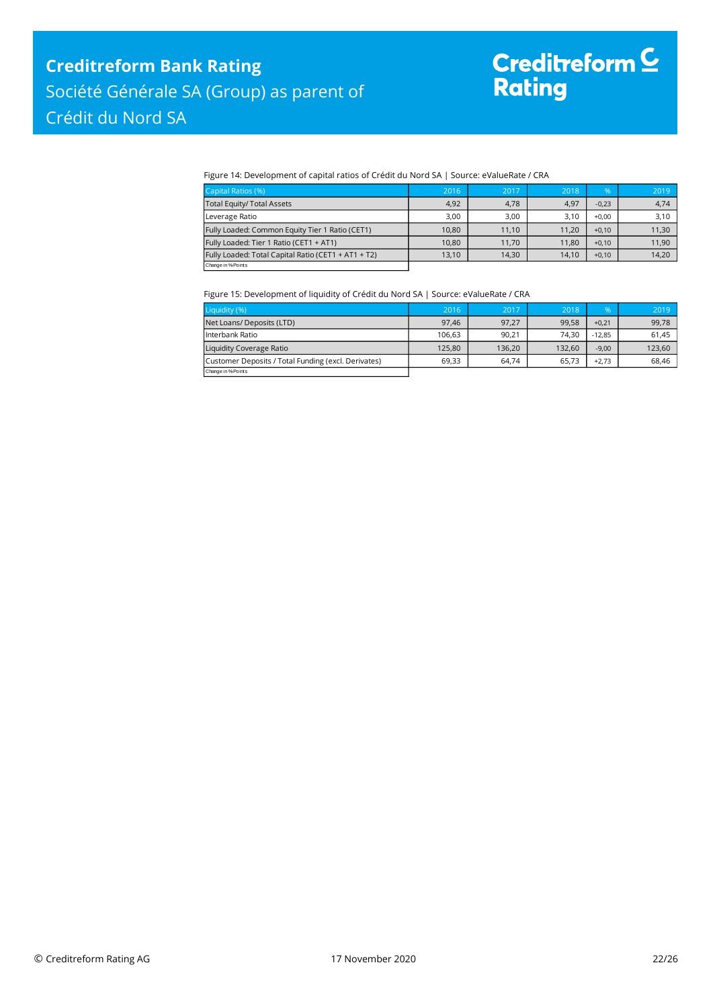#### Figure 14: Development of capital ratios of Crédit du Nord SA | Source: eValueRate / CRA

| Capital Ratios (%)                                  | 2016  | 2017  | 2018  | %       | 2019  |
|-----------------------------------------------------|-------|-------|-------|---------|-------|
| <b>Total Equity/ Total Assets</b>                   | 4,92  | 4.78  | 4.97  | $-0.23$ | 4,74  |
| Leverage Ratio                                      | 3,00  | 3,00  | 3.10  | $+0.00$ | 3,10  |
| Fully Loaded: Common Equity Tier 1 Ratio (CET1)     | 10.80 | 11.10 | 11.20 | $+0.10$ | 11,30 |
| Fully Loaded: Tier 1 Ratio (CET1 + AT1)             | 10.80 | 11.70 | 11.80 | $+0.10$ | 11,90 |
| Fully Loaded: Total Capital Ratio (CET1 + AT1 + T2) | 13,10 | 14,30 | 14.10 | $+0,10$ | 14,20 |
| Change in % Points                                  |       |       |       |         |       |

#### Figure 15: Development of liquidity of Crédit du Nord SA | Source: eValueRate / CRA

| Liquidity (%)                                       | 2016   | 2017   | 2018   | %        | 2019   |
|-----------------------------------------------------|--------|--------|--------|----------|--------|
| Net Loans/ Deposits (LTD)                           | 97.46  | 97.27  | 99.58  | $+0.21$  | 99,78  |
| l Interbank Ratio                                   | 106.63 | 90.21  | 74.30  | $-12.85$ | 61.45  |
| Liquidity Coverage Ratio                            | 125.80 | 136,20 | 132.60 | $-9.00$  | 123,60 |
| Customer Deposits / Total Funding (excl. Derivates) | 69.33  | 64,74  | 65.73  | $+2.73$  | 68,46  |
| Change in % Points                                  |        |        |        |          |        |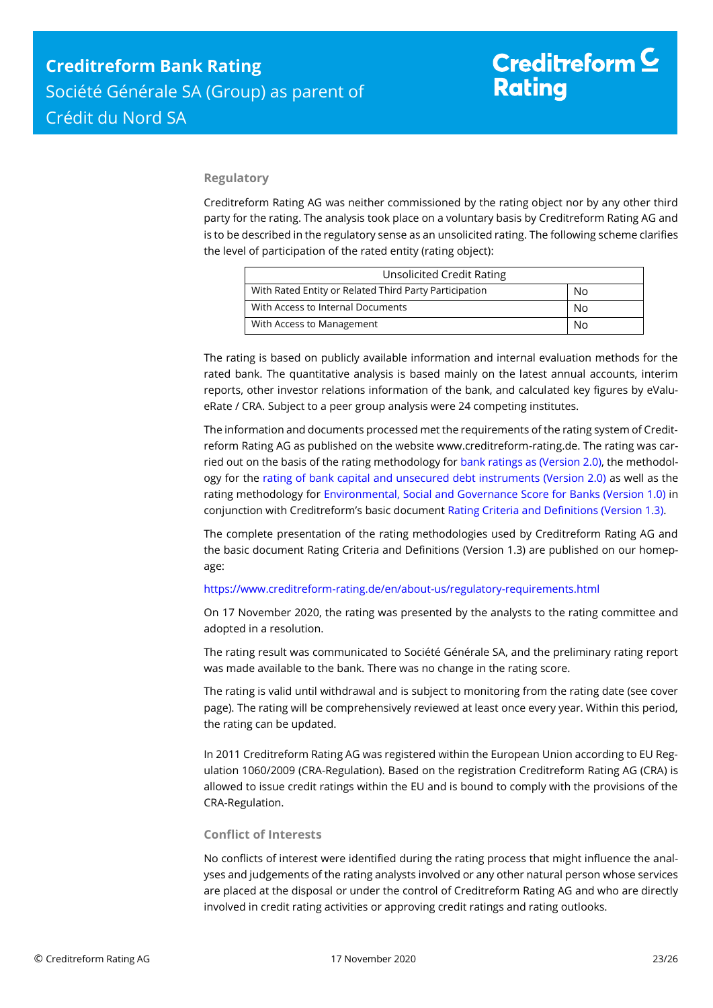### **Regulatory**

Creditreform Rating AG was neither commissioned by the rating object nor by any other third party for the rating. The analysis took place on a voluntary basis by Creditreform Rating AG and is to be described in the regulatory sense as an unsolicited rating. The following scheme clarifies the level of participation of the rated entity (rating object):

| <b>Unsolicited Credit Rating</b>                       |    |  |
|--------------------------------------------------------|----|--|
| With Rated Entity or Related Third Party Participation | No |  |
| With Access to Internal Documents                      | No |  |
| With Access to Management                              | N٥ |  |

The rating is based on publicly available information and internal evaluation methods for the rated bank. The quantitative analysis is based mainly on the latest annual accounts, interim reports, other investor relations information of the bank, and calculated key figures by eValueRate / CRA. Subject to a peer group analysis were 24 competing institutes.

The information and documents processed met the requirements of the rating system of Creditreform Rating AG as published on the website www.creditreform-rating.de. The rating was carried out on the basis of the rating methodology fo[r bank ratings as \(Version 2.0\),](https://www.creditreform-rating.de/en/about-us/regulatory-requirements.html?file=files/content/downloads/Externes%20Rating/Regulatorische%20Anforderungen/EN/Ratingmethodiken%20EN/Rating%20Methodology%20Bank%20Ratings%20v2.0.pdf) the methodology for the [rating of bank capital and unsecured debt instruments \(Version 2.0\)](https://www.creditreform-rating.de/en/about-us/regulatory-requirements.html?file=files/content/downloads/Externes%20Rating/Regulatorische%20Anforderungen/EN/Ratingmethodiken%20EN/Bank%20Capital%20and%20Unsecured%20Debt%20Instruments%20Methodology.pdf) as well as the rating methodology for [Environmental, Social and Governance Score for Banks \(Version 1.0\)](https://www.creditreform-rating.de/en/about-us/regulatory-requirements.html?file=files/content/downloads/Externes%20Rating/Regulatorische%20Anforderungen/EN/Ratingmethodiken%20EN/Rating%20Methodology%20ESG%20v1.0.pdf) in conjunction with Creditreform's basic documen[t Rating Criteria and Definitions \(Version 1.3\).](https://www.creditreform-rating.de/en/about-us/regulatory-requirements.html?file=files/content/downloads/Externes%20Rating/Regulatorische%20Anforderungen/EN/Ratingmethodiken%20EN/CRAG%20Rating%20Criteria%20and%20Definitions.pdf)

The complete presentation of the rating methodologies used by Creditreform Rating AG and the basic document Rating Criteria and Definitions (Version 1.3) are published on our homepage:

#### <https://www.creditreform-rating.de/en/about-us/regulatory-requirements.html>

On 17 November 2020, the rating was presented by the analysts to the rating committee and adopted in a resolution.

The rating result was communicated to Société Générale SA, and the preliminary rating report was made available to the bank. There was no change in the rating score.

The rating is valid until withdrawal and is subject to monitoring from the rating date (see cover page). The rating will be comprehensively reviewed at least once every year. Within this period, the rating can be updated.

In 2011 Creditreform Rating AG was registered within the European Union according to EU Regulation 1060/2009 (CRA-Regulation). Based on the registration Creditreform Rating AG (CRA) is allowed to issue credit ratings within the EU and is bound to comply with the provisions of the CRA-Regulation.

### **Conflict of Interests**

No conflicts of interest were identified during the rating process that might influence the analyses and judgements of the rating analysts involved or any other natural person whose services are placed at the disposal or under the control of Creditreform Rating AG and who are directly involved in credit rating activities or approving credit ratings and rating outlooks.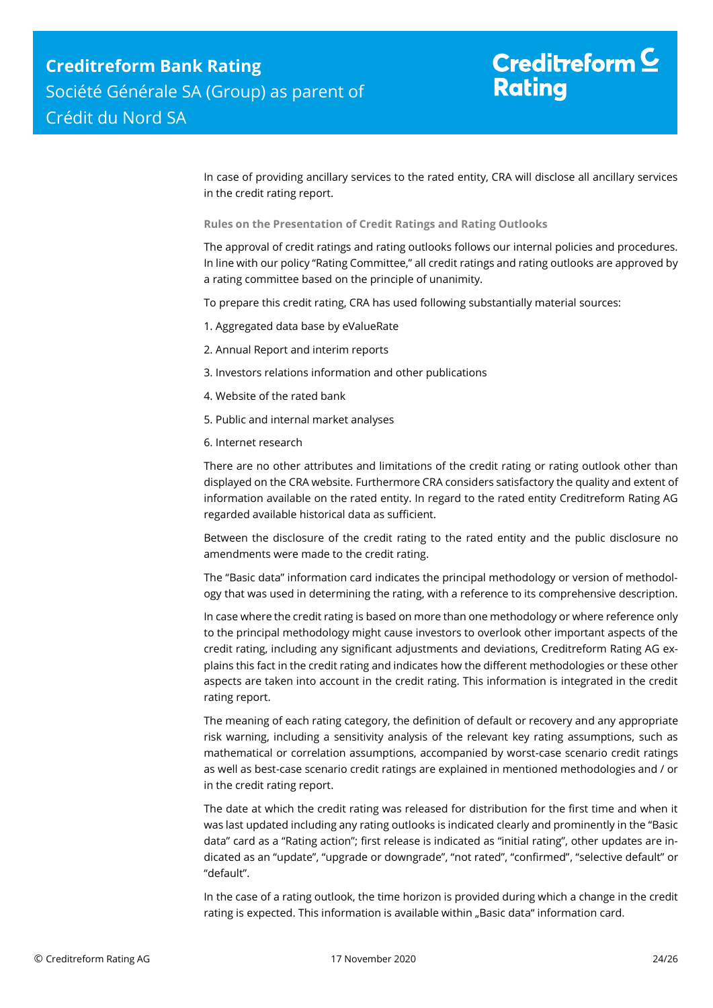In case of providing ancillary services to the rated entity, CRA will disclose all ancillary services in the credit rating report.

**Rules on the Presentation of Credit Ratings and Rating Outlooks**

The approval of credit ratings and rating outlooks follows our internal policies and procedures. In line with our policy "Rating Committee," all credit ratings and rating outlooks are approved by a rating committee based on the principle of unanimity.

To prepare this credit rating, CRA has used following substantially material sources:

- 1. Aggregated data base by eValueRate
- 2. Annual Report and interim reports
- 3. Investors relations information and other publications
- 4. Website of the rated bank
- 5. Public and internal market analyses
- 6. Internet research

There are no other attributes and limitations of the credit rating or rating outlook other than displayed on the CRA website. Furthermore CRA considers satisfactory the quality and extent of information available on the rated entity. In regard to the rated entity Creditreform Rating AG regarded available historical data as sufficient.

Between the disclosure of the credit rating to the rated entity and the public disclosure no amendments were made to the credit rating.

The "Basic data" information card indicates the principal methodology or version of methodology that was used in determining the rating, with a reference to its comprehensive description.

In case where the credit rating is based on more than one methodology or where reference only to the principal methodology might cause investors to overlook other important aspects of the credit rating, including any significant adjustments and deviations, Creditreform Rating AG explains this fact in the credit rating and indicates how the different methodologies or these other aspects are taken into account in the credit rating. This information is integrated in the credit rating report.

The meaning of each rating category, the definition of default or recovery and any appropriate risk warning, including a sensitivity analysis of the relevant key rating assumptions, such as mathematical or correlation assumptions, accompanied by worst-case scenario credit ratings as well as best-case scenario credit ratings are explained in mentioned methodologies and / or in the credit rating report.

The date at which the credit rating was released for distribution for the first time and when it was last updated including any rating outlooks is indicated clearly and prominently in the "Basic data" card as a "Rating action"; first release is indicated as "initial rating", other updates are indicated as an "update", "upgrade or downgrade", "not rated", "confirmed", "selective default" or "default".

In the case of a rating outlook, the time horizon is provided during which a change in the credit rating is expected. This information is available within "Basic data" information card.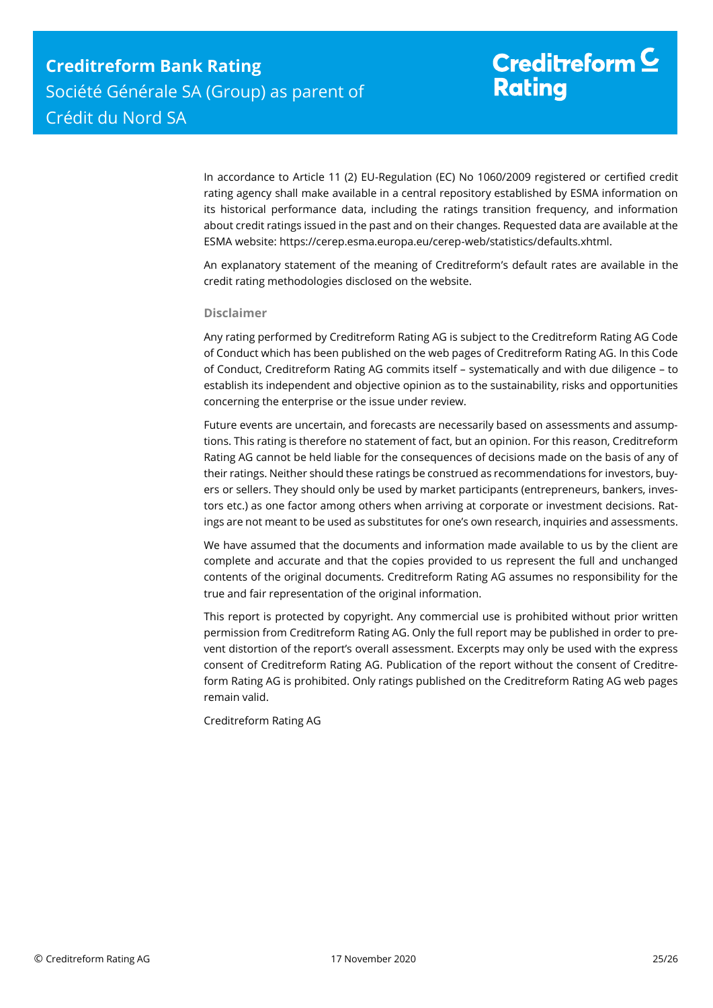In accordance to Article 11 (2) EU-Regulation (EC) No 1060/2009 registered or certified credit rating agency shall make available in a central repository established by ESMA information on its historical performance data, including the ratings transition frequency, and information about credit ratings issued in the past and on their changes. Requested data are available at the ESMA website: https://cerep.esma.europa.eu/cerep-web/statistics/defaults.xhtml.

An explanatory statement of the meaning of Creditreform's default rates are available in the credit rating methodologies disclosed on the website.

#### **Disclaimer**

Any rating performed by Creditreform Rating AG is subject to the Creditreform Rating AG Code of Conduct which has been published on the web pages of Creditreform Rating AG. In this Code of Conduct, Creditreform Rating AG commits itself – systematically and with due diligence – to establish its independent and objective opinion as to the sustainability, risks and opportunities concerning the enterprise or the issue under review.

Future events are uncertain, and forecasts are necessarily based on assessments and assumptions. This rating is therefore no statement of fact, but an opinion. For this reason, Creditreform Rating AG cannot be held liable for the consequences of decisions made on the basis of any of their ratings. Neither should these ratings be construed as recommendations for investors, buyers or sellers. They should only be used by market participants (entrepreneurs, bankers, investors etc.) as one factor among others when arriving at corporate or investment decisions. Ratings are not meant to be used as substitutes for one's own research, inquiries and assessments.

We have assumed that the documents and information made available to us by the client are complete and accurate and that the copies provided to us represent the full and unchanged contents of the original documents. Creditreform Rating AG assumes no responsibility for the true and fair representation of the original information.

This report is protected by copyright. Any commercial use is prohibited without prior written permission from Creditreform Rating AG. Only the full report may be published in order to prevent distortion of the report's overall assessment. Excerpts may only be used with the express consent of Creditreform Rating AG. Publication of the report without the consent of Creditreform Rating AG is prohibited. Only ratings published on the Creditreform Rating AG web pages remain valid.

Creditreform Rating AG